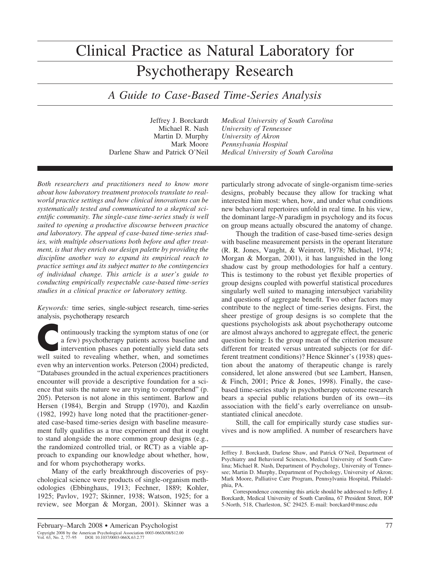# Clinical Practice as Natural Laboratory for Psychotherapy Research

*A Guide to Case-Based Time-Series Analysis*

Jeffrey J. Borckardt *Medical University of South Carolina* Michael R. Nash *University of Tennessee* Martin D. Murphy *University of Akron* Mark Moore *Pennsylvania Hospital* Darlene Shaw and Patrick O'Neil *Medical University of South Carolina*

*Both researchers and practitioners need to know more about how laboratory treatment protocols translate to realworld practice settings and how clinical innovations can be systematically tested and communicated to a skeptical scientific community. The single-case time-series study is well suited to opening a productive discourse between practice and laboratory. The appeal of case-based time-series studies, with multiple observations both before and after treatment, is that they enrich our design palette by providing the discipline another way to expand its empirical reach to practice settings and its subject matter to the contingencies of individual change. This article is a user's guide to conducting empirically respectable case-based time-series studies in a clinical practice or laboratory setting.*

*Keywords:* time series, single-subject research, time-series analysis, psychotherapy research

ontinuously tracking the symptom status of one (or<br>a few) psychotherapy patients across baseline and<br>intervention phases can potentially yield data sets<br>well suited to revealing whether when and sometimes a few) psychotherapy patients across baseline and intervention phases can potentially yield data sets well suited to revealing whether, when, and sometimes even why an intervention works. Peterson (2004) predicted, "Databases grounded in the actual experiences practitioners encounter will provide a descriptive foundation for a science that suits the nature we are trying to comprehend" (p. 205). Peterson is not alone in this sentiment. Barlow and Hersen (1984), Bergin and Strupp (1970), and Kazdin (1982, 1992) have long noted that the practitioner-generated case-based time-series design with baseline measurement fully qualifies as a true experiment and that it ought to stand alongside the more common group designs (e.g., the randomized controlled trial, or RCT) as a viable approach to expanding our knowledge about whether, how, and for whom psychotherapy works.

Many of the early breakthrough discoveries of psychological science were products of single-organism methodologies (Ebbinghaus, 1913; Fechner, 1889; Kohler, 1925; Pavlov, 1927; Skinner, 1938; Watson, 1925; for a review, see Morgan & Morgan, 2001). Skinner was a particularly strong advocate of single-organism time-series designs, probably because they allow for tracking what interested him most: when, how, and under what conditions new behavioral repertoires unfold in real time. In his view, the dominant large-*N* paradigm in psychology and its focus on group means actually obscured the anatomy of change.

Though the tradition of case-based time-series design with baseline measurement persists in the operant literature (R. R. Jones, Vaught, & Weinrott, 1978; Michael, 1974; Morgan & Morgan, 2001), it has languished in the long shadow cast by group methodologies for half a century. This is testimony to the robust yet flexible properties of group designs coupled with powerful statistical procedures singularly well suited to managing intersubject variability and questions of aggregate benefit. Two other factors may contribute to the neglect of time-series designs. First, the sheer prestige of group designs is so complete that the questions psychologists ask about psychotherapy outcome are almost always anchored to aggregate effect, the generic question being: Is the group mean of the criterion measure different for treated versus untreated subjects (or for different treatment conditions)? Hence Skinner's (1938) question about the anatomy of therapeutic change is rarely considered, let alone answered (but see Lambert, Hansen, & Finch, 2001; Price & Jones, 1998). Finally, the casebased time-series study in psychotherapy outcome research bears a special public relations burden of its own—its association with the field's early overreliance on unsubstantiated clinical anecdote.

Still, the call for empirically sturdy case studies survives and is now amplified. A number of researchers have

Jeffrey J. Borckardt, Darlene Shaw, and Patrick O'Neil, Department of Psychiatry and Behavioral Sciences, Medical University of South Carolina; Michael R. Nash, Department of Psychology, University of Tennessee; Martin D. Murphy, Department of Psychology, University of Akron; Mark Moore, Palliative Care Program, Pennsylvania Hospital, Philadelphia, PA.

Correspondence concerning this article should be addressed to Jeffrey J. Borckardt, Medical University of South Carolina, 67 President Street, IOP 5-North, 518, Charleston, SC 29425. E-mail: borckard@musc.edu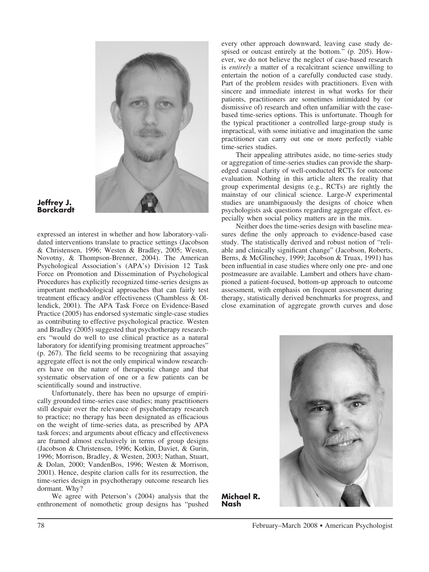

#### **Jeffrey J. Borckardt**

expressed an interest in whether and how laboratory-validated interventions translate to practice settings (Jacobson & Christensen, 1996; Westen & Bradley, 2005; Westen, Novotny, & Thompson-Brenner, 2004). The American Psychological Association's (APA's) Division 12 Task Force on Promotion and Dissemination of Psychological Procedures has explicitly recognized time-series designs as important methodological approaches that can fairly test treatment efficacy and/or effectiveness (Chambless & Ollendick, 2001). The APA Task Force on Evidence-Based Practice (2005) has endorsed systematic single-case studies as contributing to effective psychological practice. Westen and Bradley (2005) suggested that psychotherapy researchers "would do well to use clinical practice as a natural laboratory for identifying promising treatment approaches" (p. 267). The field seems to be recognizing that assaying aggregate effect is not the only empirical window researchers have on the nature of therapeutic change and that systematic observation of one or a few patients can be scientifically sound and instructive.

Unfortunately, there has been no upsurge of empirically grounded time-series case studies; many practitioners still despair over the relevance of psychotherapy research to practice; no therapy has been designated as efficacious on the weight of time-series data, as prescribed by APA task forces; and arguments about efficacy and effectiveness are framed almost exclusively in terms of group designs (Jacobson & Christensen, 1996; Kotkin, Daviet, & Gurin, 1996; Morrison, Bradley, & Westen, 2003; Nathan, Stuart, & Dolan, 2000; VandenBos, 1996; Westen & Morrison, 2001). Hence, despite clarion calls for its resurrection, the time-series design in psychotherapy outcome research lies dormant. Why?

We agree with Peterson's (2004) analysis that the enthronement of nomothetic group designs has "pushed

every other approach downward, leaving case study despised or outcast entirely at the bottom." (p. 205). However, we do not believe the neglect of case-based research is *entirely* a matter of a recalcitrant science unwilling to entertain the notion of a carefully conducted case study. Part of the problem resides with practitioners. Even with sincere and immediate interest in what works for their patients, practitioners are sometimes intimidated by (or dismissive of) research and often unfamiliar with the casebased time-series options. This is unfortunate. Though for the typical practitioner a controlled large-group study is impractical, with some initiative and imagination the same practitioner can carry out one or more perfectly viable time-series studies.

Their appealing attributes aside, no time-series study or aggregation of time-series studies can provide the sharpedged causal clarity of well-conducted RCTs for outcome evaluation. Nothing in this article alters the reality that group experimental designs (e.g., RCTs) are rightly the mainstay of our clinical science. Large-*N* experimental studies are unambiguously the designs of choice when psychologists ask questions regarding aggregate effect, especially when social policy matters are in the mix.

Neither does the time-series design with baseline measures define the only approach to evidence-based case study. The statistically derived and robust notion of "reliable and clinically significant change" (Jacobson, Roberts, Berns, & McGlinchey, 1999; Jacobson & Truax, 1991) has been influential in case studies where only one pre- and one postmeasure are available. Lambert and others have championed a patient-focused, bottom-up approach to outcome assessment, with emphasis on frequent assessment during therapy, statistically derived benchmarks for progress, and close examination of aggregate growth curves and dose



**Michael R. Nash**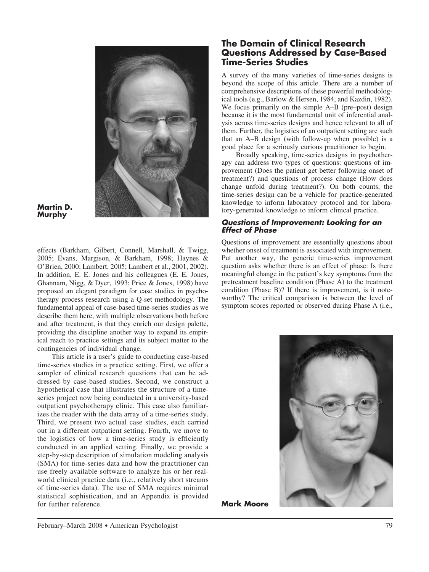

**Martin D. Murphy**

effects (Barkham, Gilbert, Connell, Marshall, & Twigg, 2005; Evans, Margison, & Barkham, 1998; Haynes & O'Brien, 2000; Lambert, 2005; Lambert et al., 2001, 2002). In addition, E. E. Jones and his colleagues (E. E. Jones, Ghannam, Nigg, & Dyer, 1993; Price & Jones, 1998) have proposed an elegant paradigm for case studies in psychotherapy process research using a Q-set methodology. The fundamental appeal of case-based time-series studies as we describe them here, with multiple observations both before and after treatment, is that they enrich our design palette, providing the discipline another way to expand its empirical reach to practice settings and its subject matter to the contingencies of individual change.

This article is a user's guide to conducting case-based time-series studies in a practice setting. First, we offer a sampler of clinical research questions that can be addressed by case-based studies. Second, we construct a hypothetical case that illustrates the structure of a timeseries project now being conducted in a university-based outpatient psychotherapy clinic. This case also familiarizes the reader with the data array of a time-series study. Third, we present two actual case studies, each carried out in a different outpatient setting. Fourth, we move to the logistics of how a time-series study is efficiently conducted in an applied setting. Finally, we provide a step-by-step description of simulation modeling analysis (SMA) for time-series data and how the practitioner can use freely available software to analyze his or her realworld clinical practice data (i.e., relatively short streams of time-series data). The use of SMA requires minimal statistical sophistication, and an Appendix is provided for further reference.

# **The Domain of Clinical Research Questions Addressed by Case-Based Time-Series Studies**

A survey of the many varieties of time-series designs is beyond the scope of this article. There are a number of comprehensive descriptions of these powerful methodological tools (e.g., Barlow & Hersen, 1984, and Kazdin, 1982). We focus primarily on the simple A–B (pre–post) design because it is the most fundamental unit of inferential analysis across time-series designs and hence relevant to all of them. Further, the logistics of an outpatient setting are such that an A–B design (with follow-up when possible) is a good place for a seriously curious practitioner to begin.

Broadly speaking, time-series designs in psychotherapy can address two types of questions: questions of improvement (Does the patient get better following onset of treatment?) and questions of process change (How does change unfold during treatment?). On both counts, the time-series design can be a vehicle for practice-generated knowledge to inform laboratory protocol and for laboratory-generated knowledge to inform clinical practice.

## **Questions of Improvement: Looking for an Effect of Phase**

Questions of improvement are essentially questions about whether onset of treatment is associated with improvement. Put another way, the generic time-series improvement question asks whether there is an effect of phase: Is there meaningful change in the patient's key symptoms from the pretreatment baseline condition (Phase A) to the treatment condition (Phase B)? If there is improvement, is it noteworthy? The critical comparison is between the level of symptom scores reported or observed during Phase A (i.e.,



**Mark Moore**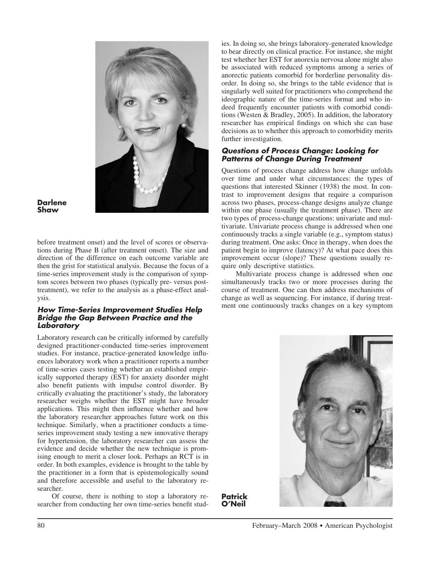

**Darlene Shaw**

before treatment onset) and the level of scores or observations during Phase B (after treatment onset). The size and direction of the difference on each outcome variable are then the grist for statistical analysis. Because the focus of a time-series improvement study is the comparison of symptom scores between two phases (typically pre- versus posttreatment), we refer to the analysis as a phase-effect analysis.

#### **How Time-Series Improvement Studies Help Bridge the Gap Between Practice and the Laboratory**

Laboratory research can be critically informed by carefully designed practitioner-conducted time-series improvement studies. For instance, practice-generated knowledge influences laboratory work when a practitioner reports a number of time-series cases testing whether an established empirically supported therapy (EST) for anxiety disorder might also benefit patients with impulse control disorder. By critically evaluating the practitioner's study, the laboratory researcher weighs whether the EST might have broader applications. This might then influence whether and how the laboratory researcher approaches future work on this technique. Similarly, when a practitioner conducts a timeseries improvement study testing a new innovative therapy for hypertension, the laboratory researcher can assess the evidence and decide whether the new technique is promising enough to merit a closer look. Perhaps an RCT is in order. In both examples, evidence is brought to the table by the practitioner in a form that is epistemologically sound and therefore accessible and useful to the laboratory researcher.

Of course, there is nothing to stop a laboratory researcher from conducting her own time-series benefit studies. In doing so, she brings laboratory-generated knowledge to bear directly on clinical practice. For instance, she might test whether her EST for anorexia nervosa alone might also be associated with reduced symptoms among a series of anorectic patients comorbid for borderline personality disorder. In doing so, she brings to the table evidence that is singularly well suited for practitioners who comprehend the ideographic nature of the time-series format and who indeed frequently encounter patients with comorbid conditions (Westen & Bradley, 2005). In addition, the laboratory researcher has empirical findings on which she can base decisions as to whether this approach to comorbidity merits further investigation.

## **Questions of Process Change: Looking for Patterns of Change During Treatment**

Questions of process change address how change unfolds over time and under what circumstances: the types of questions that interested Skinner (1938) the most. In contrast to improvement designs that require a comparison across two phases, process-change designs analyze change within one phase (usually the treatment phase). There are two types of process-change questions: univariate and multivariate. Univariate process change is addressed when one continuously tracks a single variable (e.g., symptom status) during treatment. One asks: Once in therapy, when does the patient begin to improve (latency)? At what pace does this improvement occur (slope)? These questions usually require only descriptive statistics.

Multivariate process change is addressed when one simultaneously tracks two or more processes during the course of treatment. One can then address mechanisms of change as well as sequencing. For instance, if during treatment one continuously tracks changes on a key symptom



**Patrick O'Neil**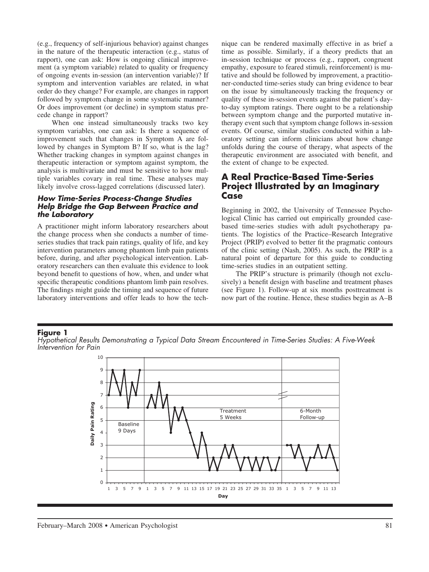(e.g., frequency of self-injurious behavior) against changes in the nature of the therapeutic interaction (e.g., status of rapport), one can ask: How is ongoing clinical improvement (a symptom variable) related to quality or frequency of ongoing events in-session (an intervention variable)? If symptom and intervention variables are related, in what order do they change? For example, are changes in rapport followed by symptom change in some systematic manner? Or does improvement (or decline) in symptom status precede change in rapport?

When one instead simultaneously tracks two key symptom variables, one can ask: Is there a sequence of improvement such that changes in Symptom A are followed by changes in Symptom B? If so, what is the lag? Whether tracking changes in symptom against changes in therapeutic interaction or symptom against symptom, the analysis is multivariate and must be sensitive to how multiple variables covary in real time. These analyses may likely involve cross-lagged correlations (discussed later).

#### **How Time-Series Process-Change Studies Help Bridge the Gap Between Practice and the Laboratory**

A practitioner might inform laboratory researchers about the change process when she conducts a number of timeseries studies that track pain ratings, quality of life, and key intervention parameters among phantom limb pain patients before, during, and after psychological intervention. Laboratory researchers can then evaluate this evidence to look beyond benefit to questions of how, when, and under what specific therapeutic conditions phantom limb pain resolves. The findings might guide the timing and sequence of future laboratory interventions and offer leads to how the technique can be rendered maximally effective in as brief a time as possible. Similarly, if a theory predicts that an in-session technique or process (e.g., rapport, congruent empathy, exposure to feared stimuli, reinforcement) is mutative and should be followed by improvement, a practitioner-conducted time-series study can bring evidence to bear on the issue by simultaneously tracking the frequency or quality of these in-session events against the patient's dayto-day symptom ratings. There ought to be a relationship between symptom change and the purported mutative intherapy event such that symptom change follows in-session events. Of course, similar studies conducted within a laboratory setting can inform clinicians about how change unfolds during the course of therapy, what aspects of the therapeutic environment are associated with benefit, and the extent of change to be expected.

# **A Real Practice-Based Time-Series Project Illustrated by an Imaginary Case**

Beginning in 2002, the University of Tennessee Psychological Clinic has carried out empirically grounded casebased time-series studies with adult psychotherapy patients. The logistics of the Practice–Research Integrative Project (PRIP) evolved to better fit the pragmatic contours of the clinic setting (Nash, 2005). As such, the PRIP is a natural point of departure for this guide to conducting time-series studies in an outpatient setting.

The PRIP's structure is primarily (though not exclusively) a benefit design with baseline and treatment phases (see Figure 1). Follow-up at six months posttreatment is now part of the routine. Hence, these studies begin as A–B

#### **Figure 1**

Hypothetical Results Demonstrating a Typical Data Stream Encountered in Time-Series Studies: A Five-Week Intervention for Pain

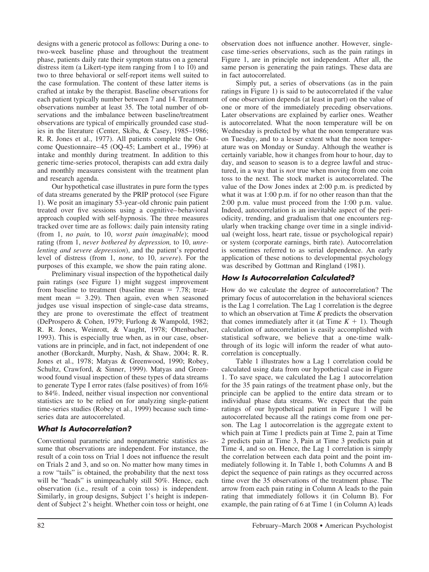designs with a generic protocol as follows: During a one- to two-week baseline phase and throughout the treatment phase, patients daily rate their symptom status on a general distress item (a Likert-type item ranging from 1 to 10) and two to three behavioral or self-report items well suited to the case formulation. The content of these latter items is crafted at intake by the therapist. Baseline observations for each patient typically number between 7 and 14. Treatment observations number at least 35. The total number of observations and the imbalance between baseline/treatment observations are typical of empirically grounded case studies in the literature (Center, Skiba, & Casey, 1985–1986; R. R. Jones et al., 1977). All patients complete the Outcome Questionnaire– 45 (OQ-45; Lambert et al., 1996) at intake and monthly during treatment. In addition to this generic time-series protocol, therapists can add extra daily and monthly measures consistent with the treatment plan and research agenda.

Our hypothetical case illustrates in pure form the types of data streams generated by the PRIP protocol (see Figure 1). We posit an imaginary 53-year-old chronic pain patient treated over five sessions using a cognitive– behavioral approach coupled with self-hypnosis. The three measures tracked over time are as follows: daily pain intensity rating (from 1, *no pain,* to 10, *worst pain imaginable*); mood rating (from 1, *never bothered by depression,* to 10, *unrelenting and severe depression*), and the patient's reported level of distress (from 1, *none,* to 10, *severe*). For the purposes of this example, we show the pain rating alone.

Preliminary visual inspection of the hypothetical daily pain ratings (see Figure 1) might suggest improvement from baseline to treatment (baseline mean  $= 7.78$ ; treatment mean  $= 3.29$ ). Then again, even when seasoned judges use visual inspection of single-case data streams, they are prone to overestimate the effect of treatment (DeProspero & Cohen, 1979; Furlong & Wampold, 1982; R. R. Jones, Weinrott, & Vaught, 1978; Ottenbacher, 1993). This is especially true when, as in our case, observations are in principle, and in fact, not independent of one another (Borckardt, Murphy, Nash, & Shaw, 2004; R. R. Jones et al., 1978; Matyas & Greenwood, 1990; Robey, Schultz, Crawford, & Sinner, 1999). Matyas and Greenwood found visual inspection of these types of data streams to generate Type I error rates (false positives) of from 16% to 84%. Indeed, neither visual inspection nor conventional statistics are to be relied on for analyzing single-patient time-series studies (Robey et al., 1999) because such timeseries data are autocorrelated.

# **What Is Autocorrelation?**

Conventional parametric and nonparametric statistics assume that observations are independent. For instance, the result of a coin toss on Trial 1 does not influence the result on Trials 2 and 3, and so on. No matter how many times in a row "tails" is obtained, the probability that the next toss will be "heads" is unimpeachably still 50%. Hence, each observation (i.e., result of a coin toss) is independent. Similarly, in group designs, Subject 1's height is independent of Subject 2's height. Whether coin toss or height, one observation does not influence another. However, singlecase time-series observations, such as the pain ratings in Figure 1, are in principle not independent. After all, the same person is generating the pain ratings. These data are in fact autocorrelated.

Simply put, a series of observations (as in the pain ratings in Figure 1) is said to be autocorrelated if the value of one observation depends (at least in part) on the value of one or more of the immediately preceding observations. Later observations are explained by earlier ones. Weather is autocorrelated. What the noon temperature will be on Wednesday is predicted by what the noon temperature was on Tuesday, and to a lesser extent what the noon temperature was on Monday or Sunday. Although the weather is certainly variable, how it changes from hour to hour, day to day, and season to season is to a degree lawful and structured, in a way that is *not* true when moving from one coin toss to the next. The stock market is autocorrelated. The value of the Dow Jones index at 2:00 p.m. is predicted by what it was at 1:00 p.m. if for no other reason than that the 2:00 p.m. value must proceed from the 1:00 p.m. value. Indeed, autocorrelation is an inevitable aspect of the periodicity, trending, and gradualism that one encounters regularly when tracking change over time in a single individual (weight loss, heart rate, tissue or psychological repair) or system (corporate earnings, birth rate). Autocorrelation is sometimes referred to as serial dependence. An early application of these notions to developmental psychology was described by Gottman and Ringland (1981).

# **How Is Autocorrelation Calculated?**

How do we calculate the degree of autocorrelation? The primary focus of autocorrelation in the behavioral sciences is the Lag 1 correlation. The Lag 1 correlation is the degree to which an observation at Time *K* predicts the observation that comes immediately after it (at Time  $K + 1$ ). Though calculation of autocorrelation is easily accomplished with statistical software, we believe that a one-time walkthrough of its logic will inform the reader of what autocorrelation is conceptually.

Table 1 illustrates how a Lag 1 correlation could be calculated using data from our hypothetical case in Figure 1. To save space, we calculated the Lag 1 autocorrelation for the 35 pain ratings of the treatment phase only, but the principle can be applied to the entire data stream or to individual phase data streams. We expect that the pain ratings of our hypothetical patient in Figure 1 will be autocorrelated because all the ratings come from one person. The Lag 1 autocorrelation is the aggregate extent to which pain at Time 1 predicts pain at Time 2, pain at Time 2 predicts pain at Time 3, Pain at Time 3 predicts pain at Time 4, and so on. Hence, the Lag 1 correlation is simply the correlation between each data point and the point immediately following it. In Table 1, both Columns A and B depict the sequence of pain ratings as they occurred across time over the 35 observations of the treatment phase. The arrow from each pain rating in Column A leads to the pain rating that immediately follows it (in Column B). For example, the pain rating of 6 at Time 1 (in Column A) leads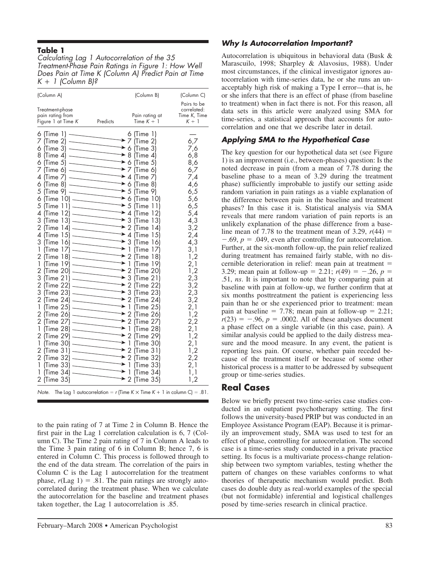#### **Table 1**

Calculating Lag 1 Autocorrelation of the 35 Treatment-Phase Pain Ratings in Figure 1: How Well Does Pain at Time K (Column A) Predict Pain at Time  $K + 1$  (Column B)?

| (Column A)<br>Treatment-phase                                                                                                                                                    |                                                                                                                                                                                                                                                                                                                                                                                                                                                                                                                                                                                                                                                                                                                                                                                                                           | (Column B)                                                                                                                                                                                                                                                                                                                                                                                                                                                                                                                                                                                                                                                                                                       | (Column C)<br>Pairs to be<br>correlated:                                                                                                                                                                                               |
|----------------------------------------------------------------------------------------------------------------------------------------------------------------------------------|---------------------------------------------------------------------------------------------------------------------------------------------------------------------------------------------------------------------------------------------------------------------------------------------------------------------------------------------------------------------------------------------------------------------------------------------------------------------------------------------------------------------------------------------------------------------------------------------------------------------------------------------------------------------------------------------------------------------------------------------------------------------------------------------------------------------------|------------------------------------------------------------------------------------------------------------------------------------------------------------------------------------------------------------------------------------------------------------------------------------------------------------------------------------------------------------------------------------------------------------------------------------------------------------------------------------------------------------------------------------------------------------------------------------------------------------------------------------------------------------------------------------------------------------------|----------------------------------------------------------------------------------------------------------------------------------------------------------------------------------------------------------------------------------------|
| Figure 1 at Time $K$                                                                                                                                                             | Predicts                                                                                                                                                                                                                                                                                                                                                                                                                                                                                                                                                                                                                                                                                                                                                                                                                  | Time $K + 1$                                                                                                                                                                                                                                                                                                                                                                                                                                                                                                                                                                                                                                                                                                     | $K + 1$                                                                                                                                                                                                                                |
| pain rating from<br>6.<br>7<br>4<br>6<br>5<br>6<br>5<br>4<br>3<br>2<br>4<br>3<br>1<br>2<br>1<br>2<br>3<br>2<br>3<br>2<br>1<br>2<br>2<br>1<br>2<br>1<br>$\overline{2}$<br>2<br>1. | 6 (Time 1) $\longrightarrow$ 7 (Time 2)<br>7 (Time 2)<br>$\frac{1}{\sqrt{2}}$ (Time 3)<br>Time $4$ $\overbrace{ }$ $\overbrace{ }$ $\overbrace{ }$ $\overbrace{ }$ $\overbrace{ }$ $\overbrace{ }$ $\overbrace{ }$ $\overbrace{ }$ $\overbrace{ }$ $\overbrace{ }$ $\overbrace{ }$ $\overbrace{ }$ $\overbrace{ }$ $\overbrace{ }$ $\overbrace{ }$ $\overbrace{ }$ $\overbrace{ }$ $\overbrace{ }$ $\overbrace{ }$ $\overbrace{ }$ $\overbrace{ }$ $\overbrace{ }$ $\overbrace{ }$ $\overbrace{ }$ $\overbrace{ }$ $\overbrace{ }$ $\overbrace$<br>Time $5 \rightarrow 7$ (Time $6 \rightarrow 7$ )<br>Time $\underline{\delta}$ $\begin{matrix} 1 & \cdots & 1 \\ -1 & \cdots & 1 \\ 0 & 1 & \cdots & 1 \end{matrix}$<br>(Time $\overline{Z}$ )<br>Time $\frac{8}{2}$ $\rightarrow$ 5 (Time 9)<br>(Time 27)<br>(Time 29) | Pain rating at<br>Time $\frac{5}{2}$ 6 (Time 10)<br>(Time 10) $\begin{array}{c} 0 \\ -2 \\ 5 \\ \end{array}$ (Time 11)<br>(Time 11)<br>$\overline{12}$<br>$\overline{12}$<br>$\overline{12}$<br>$\overline{12}$<br>$\overline{12}$<br>Time 12)<br>(Time 13)<br>$2 \times 10^{11}$<br>$2 \times 10^{11}$<br>$2 \times 10^{11}$<br>(Time 14)<br>Time 15)<br>$3 \times 3$ (Time 16)<br>Time 16)<br>Time $\frac{17}{2}$ $\left(\frac{1}{2}\right)$<br>Time 18)<br>Time 19 <br>$\overline{20}$ Time 20 <br>Time 20)<br>(Time 21)<br>Time 22)<br>(Time 23)<br>$2 \times 2$ (Time 24)<br>Time 24)<br>Time 25)<br>$\overbrace{25}$ Time 26)<br>Time 26)<br>Time 28)<br>(Time 30)<br>(Time 31)<br>2 (Time 32)<br>Time 32) | Time K, Time<br>6,7<br>7,6<br>6,8<br>8,6<br>6,7<br>7,4<br>4,6<br>6, 5<br>5,6<br>6,5<br>5,4<br>4,3<br>3,2<br>2,4<br>4,3<br>3,1<br>1,2<br>2,1<br>1,2<br>2,3<br>3,2<br>2,3<br>3,2<br>2,1<br>1,2<br>2,2<br>2,1<br>1,2<br>2,1<br>1,2<br>2,2 |
| L<br>(Time 35)<br>2                                                                                                                                                              | (Time 33)<br>$(\text{Time } 34)$                                                                                                                                                                                                                                                                                                                                                                                                                                                                                                                                                                                                                                                                                                                                                                                          | 1 (Time 34)<br>→ 2 (Time 35)                                                                                                                                                                                                                                                                                                                                                                                                                                                                                                                                                                                                                                                                                     | 2,1<br>1,1<br>1,2                                                                                                                                                                                                                      |
|                                                                                                                                                                                  |                                                                                                                                                                                                                                                                                                                                                                                                                                                                                                                                                                                                                                                                                                                                                                                                                           |                                                                                                                                                                                                                                                                                                                                                                                                                                                                                                                                                                                                                                                                                                                  | Note. The Lag 1 autocorrelation = r (Time $K \times$ Time $K + 1$ in column C) = .81.                                                                                                                                                  |
|                                                                                                                                                                                  |                                                                                                                                                                                                                                                                                                                                                                                                                                                                                                                                                                                                                                                                                                                                                                                                                           |                                                                                                                                                                                                                                                                                                                                                                                                                                                                                                                                                                                                                                                                                                                  |                                                                                                                                                                                                                                        |

to the pain rating of 7 at Time 2 in Column B. Hence the first pair in the Lag 1 correlation calculation is 6, 7 (Column C). The Time 2 pain rating of 7 in Column A leads to the Time 3 pain rating of 6 in Column B; hence 7, 6 is entered in Column C. This process is followed through to the end of the data stream. The correlation of the pairs in Column C is the Lag 1 autocorrelation for the treatment phase,  $r(\text{Lag 1}) = .81$ . The pain ratings are strongly autocorrelated during the treatment phase. When we calculate the autocorrelation for the baseline and treatment phases taken together, the Lag 1 autocorrelation is .85.

#### **Why Is Autocorrelation Important?**

Autocorrelation is ubiquitous in behavioral data (Busk & Marascuilo, 1998; Sharpley & Alavosius, 1988). Under most circumstances, if the clinical investigator ignores autocorrelation with time-series data, he or she runs an unacceptably high risk of making a Type I error—that is, he or she infers that there is an effect of phase (from baseline to treatment) when in fact there is not. For this reason, all data sets in this article were analyzed using SMA for time-series, a statistical approach that accounts for autocorrelation and one that we describe later in detail.

#### **Applying SMA to the Hypothetical Case**

The key question for our hypothetical data set (see Figure 1) is an improvement (i.e., between-phases) question: Is the noted decrease in pain (from a mean of 7.78 during the baseline phase to a mean of 3.29 during the treatment phase) sufficiently improbable to justify our setting aside random variation in pain ratings as a viable explanation of the difference between pain in the baseline and treatment phases? In this case it is. Statistical analysis via SMA reveals that mere random variation of pain reports is an unlikely explanation of the phase difference from a baseline mean of 7.78 to the treatment mean of 3.29,  $r(44)$  =  $-.69, p = .049$ , even after controlling for autocorrelation. Further, at the six-month follow-up, the pain relief realized during treatment has remained fairly stable, with no discernible deterioration in relief: mean pain at treatment  $=$ 3.29; mean pain at follow-up  $= 2.21$ ;  $r(49) = -.26$ ,  $p =$ .51, *ns*. It is important to note that by comparing pain at baseline with pain at follow-up, we further confirm that at six months posttreatment the patient is experiencing less pain than he or she experienced prior to treatment: mean pain at baseline  $= 7.78$ ; mean pain at follow-up  $= 2.21$ ;  $r(23) = -.96$ ,  $p = .0002$ . All of these analyses document a phase effect on a single variable (in this case, pain). A similar analysis could be applied to the daily distress measure and the mood measure. In any event, the patient is reporting less pain. Of course, whether pain receded because of the treatment itself or because of some other historical process is a matter to be addressed by subsequent group or time-series studies.

### **Real Cases**

Below we briefly present two time-series case studies conducted in an outpatient psychotherapy setting. The first follows the university-based PRIP but was conducted in an Employee Assistance Program (EAP). Because it is primarily an improvement study, SMA was used to test for an effect of phase, controlling for autocorrelation. The second case is a time-series study conducted in a private practice setting. Its focus is a multivariate process-change relationship between two symptom variables, testing whether the pattern of changes on these variables conforms to what theories of therapeutic mechanism would predict. Both cases do double duty as real-world examples of the special (but not formidable) inferential and logistical challenges posed by time-series research in clinical practice.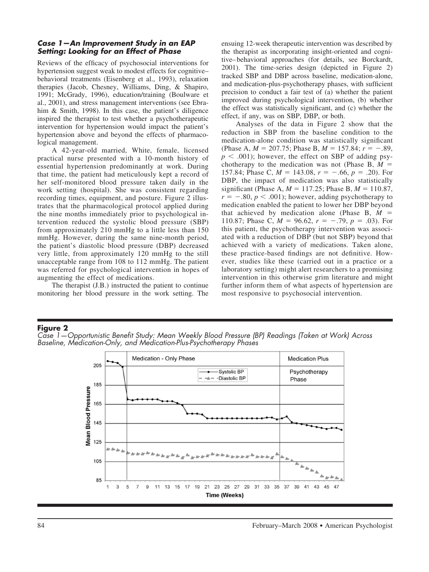#### **Case 1—An Improvement Study in an EAP Setting: Looking for an Effect of Phase**

Reviews of the efficacy of psychosocial interventions for hypertension suggest weak to modest effects for cognitive– behavioral treatments (Eisenberg et al., 1993), relaxation therapies (Jacob, Chesney, Williams, Ding, & Shapiro, 1991; McGrady, 1996), education/training (Boulware et al., 2001), and stress management interventions (see Ebrahim & Smith, 1998). In this case, the patient's diligence inspired the therapist to test whether a psychotherapeutic intervention for hypertension would impact the patient's hypertension above and beyond the effects of pharmacological management.

A 42-year-old married, White, female, licensed practical nurse presented with a 10-month history of essential hypertension predominantly at work. During that time, the patient had meticulously kept a record of her self-monitored blood pressure taken daily in the work setting (hospital). She was consistent regarding recording times, equipment, and posture. Figure 2 illustrates that the pharmacological protocol applied during the nine months immediately prior to psychological intervention reduced the systolic blood pressure (SBP) from approximately 210 mmHg to a little less than 150 mmHg. However, during the same nine-month period, the patient's diastolic blood pressure (DBP) decreased very little, from approximately 120 mmHg to the still unacceptable range from 108 to 112 mmHg. The patient was referred for psychological intervention in hopes of augmenting the effect of medications.

The therapist (J.B.) instructed the patient to continue monitoring her blood pressure in the work setting. The ensuing 12-week therapeutic intervention was described by the therapist as incorporating insight-oriented and cognitive– behavioral approaches (for details, see Borckardt, 2001). The time-series design (depicted in Figure 2) tracked SBP and DBP across baseline, medication-alone, and medication-plus-psychotherapy phases, with sufficient precision to conduct a fair test of (a) whether the patient improved during psychological intervention, (b) whether the effect was statistically significant, and (c) whether the effect, if any, was on SBP, DBP, or both.

Analyses of the data in Figure 2 show that the reduction in SBP from the baseline condition to the medication-alone condition was statistically significant (Phase A,  $M = 207.75$ ; Phase B,  $M = 157.84$ ;  $r = -.89$ ,  $p < .001$ ); however, the effect on SBP of adding psychotherapy to the medication was not (Phase B,  $M =$ 157.84; Phase C,  $M = 143.08$ ,  $r = -.66$ ,  $p = .20$ ). For DBP, the impact of medication was also statistically significant (Phase A,  $M = 117.25$ ; Phase B,  $M = 110.87$ ,  $r = -.80, p < .001$ ; however, adding psychotherapy to medication enabled the patient to lower her DBP beyond that achieved by medication alone (Phase B,  $M =$ 110.87; Phase C,  $M = 96.62$ ,  $r = -.79$ ,  $p = .03$ ). For this patient, the psychotherapy intervention was associated with a reduction of DBP (but not SBP) beyond that achieved with a variety of medications. Taken alone, these practice-based findings are not definitive. However, studies like these (carried out in a practice or a laboratory setting) might alert researchers to a promising intervention in this otherwise grim literature and might further inform them of what aspects of hypertension are most responsive to psychosocial intervention.

### **Figure 2**

Case 1—Opportunistic Benefit Study: Mean Weekly Blood Pressure (BP) Readings (Taken at Work) Across Baseline, Medication-Only, and Medication-Plus-Psychotherapy Phases

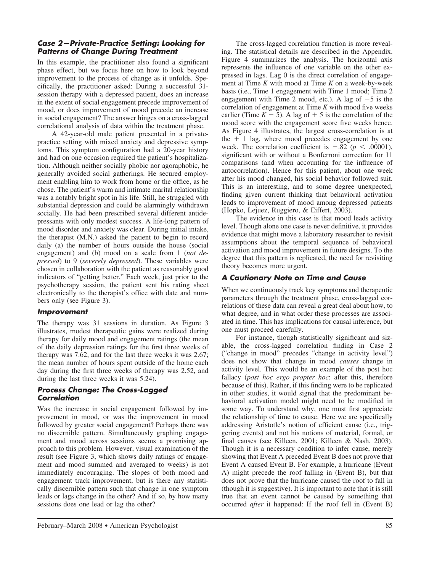#### **Case 2—Private-Practice Setting: Looking for Patterns of Change During Treatment**

In this example, the practitioner also found a significant phase effect, but we focus here on how to look beyond improvement to the process of change as it unfolds. Specifically, the practitioner asked: During a successful 31 session therapy with a depressed patient, does an increase in the extent of social engagement precede improvement of mood, or does improvement of mood precede an increase in social engagement? The answer hinges on a cross-lagged correlational analysis of data within the treatment phase.

A 42-year-old male patient presented in a privatepractice setting with mixed anxiety and depressive symptoms. This symptom configuration had a 20-year history and had on one occasion required the patient's hospitalization. Although neither socially phobic nor agoraphobic, he generally avoided social gatherings. He secured employment enabling him to work from home or the office, as he chose. The patient's warm and intimate marital relationship was a notably bright spot in his life. Still, he struggled with substantial depression and could be alarmingly withdrawn socially. He had been prescribed several different antidepressants with only modest success. A life-long pattern of mood disorder and anxiety was clear. During initial intake, the therapist (M.N.) asked the patient to begin to record daily (a) the number of hours outside the house (social engagement) and (b) mood on a scale from 1 (*not depressed*) to 9 (*severely depressed*). These variables were chosen in collaboration with the patient as reasonably good indicators of "getting better." Each week, just prior to the psychotherapy session, the patient sent his rating sheet electronically to the therapist's office with date and numbers only (see Figure 3).

#### **Improvement**

The therapy was 31 sessions in duration. As Figure 3 illustrates, modest therapeutic gains were realized during therapy for daily mood and engagement ratings (the mean of the daily depression ratings for the first three weeks of therapy was 7.62, and for the last three weeks it was 2.67; the mean number of hours spent outside of the home each day during the first three weeks of therapy was 2.52, and during the last three weeks it was 5.24).

#### **Process Change: The Cross-Lagged Correlation**

Was the increase in social engagement followed by improvement in mood, or was the improvement in mood followed by greater social engagement? Perhaps there was no discernible pattern. Simultaneously graphing engagement and mood across sessions seems a promising approach to this problem. However, visual examination of the result (see Figure 3, which shows daily ratings of engagement and mood summed and averaged to weeks) is not immediately encouraging. The slopes of both mood and engagement track improvement, but is there any statistically discernible pattern such that change in one symptom leads or lags change in the other? And if so, by how many sessions does one lead or lag the other?

The cross-lagged correlation function is more revealing. The statistical details are described in the Appendix. Figure 4 summarizes the analysis. The horizontal axis represents the influence of one variable on the other expressed in lags. Lag 0 is the direct correlation of engagement at Time *K* with mood at Time *K* on a week-by-week basis (i.e., Time 1 engagement with Time 1 mood; Time 2 engagement with Time 2 mood, etc.). A lag of  $-5$  is the correlation of engagement at Time *K* with mood five weeks earlier (Time  $K - 5$ ). A lag of  $+ 5$  is the correlation of the mood score with the engagement score five weeks hence. As Figure 4 illustrates, the largest cross-correlation is at the  $+$  1 lag, where mood precedes engagement by one week. The correlation coefficient is  $-.82$  ( $p < .00001$ ), significant with or without a Bonferroni correction for 11 comparisons (and when accounting for the influence of autocorrelation). Hence for this patient, about one week after his mood changed, his social behavior followed suit. This is an interesting, and to some degree unexpected, finding given current thinking that behavioral activation leads to improvement of mood among depressed patients (Hopko, Lejuez, Ruggiero, & Eiffert, 2003).

The evidence in this case is that mood leads activity level. Though alone one case is never definitive, it provides evidence that might move a laboratory researcher to revisit assumptions about the temporal sequence of behavioral activation and mood improvement in future designs. To the degree that this pattern is replicated, the need for revisiting theory becomes more urgent.

## **A Cautionary Note on Time and Cause**

When we continuously track key symptoms and therapeutic parameters through the treatment phase, cross-lagged correlations of these data can reveal a great deal about how, to what degree, and in what order these processes are associated in time. This has implications for causal inference, but one must proceed carefully.

For instance, though statistically significant and sizable, the cross-lagged correlation finding in Case 2 ("change in mood" precedes "change in activity level") does not show that change in mood *causes* change in activity level. This would be an example of the post hoc fallacy (*post hoc ergo propter hoc*: after this, therefore because of this). Rather, if this finding were to be replicated in other studies, it would signal that the predominant behavioral activation model might need to be modified in some way. To understand why, one must first appreciate the relationship of time to cause. Here we are specifically addressing Aristotle's notion of efficient cause (i.e., triggering events) and not his notions of material, formal, or final causes (see Killeen, 2001; Killeen & Nash, 2003). Though it is a necessary condition to infer cause, merely showing that Event A preceded Event B does not prove that Event A caused Event B. For example, a hurricane (Event A) might precede the roof falling in (Event B), but that does not prove that the hurricane caused the roof to fall in (though it is suggestive). It is important to note that it is still true that an event cannot be caused by something that occurred *after* it happened: If the roof fell in (Event B)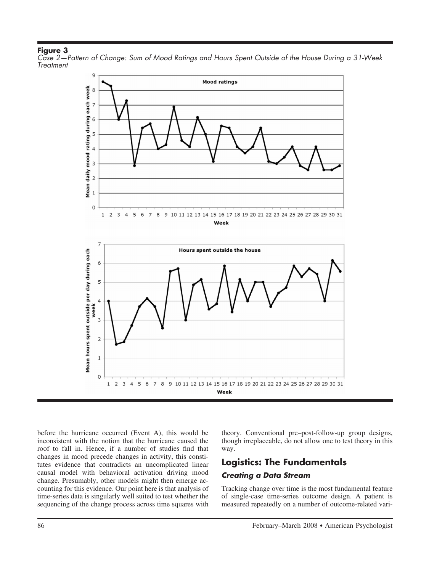#### **Figure 3**

Case 2—Pattern of Change: Sum of Mood Ratings and Hours Spent Outside of the House During a 31-Week **Treatment** 



before the hurricane occurred (Event A), this would be inconsistent with the notion that the hurricane caused the roof to fall in. Hence, if a number of studies find that changes in mood precede changes in activity, this constitutes evidence that contradicts an uncomplicated linear causal model with behavioral activation driving mood change. Presumably, other models might then emerge accounting for this evidence. Our point here is that analysis of time-series data is singularly well suited to test whether the sequencing of the change process across time squares with

theory. Conventional pre–post-follow-up group designs, though irreplaceable, do not allow one to test theory in this way.

# **Logistics: The Fundamentals**

### **Creating a Data Stream**

Tracking change over time is the most fundamental feature of single-case time-series outcome design. A patient is measured repeatedly on a number of outcome-related vari-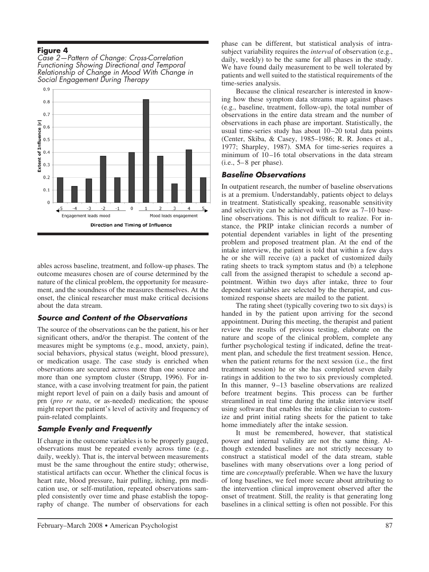#### **Figure 4**

Case 2—Pattern of Change: Cross-Correlation Functioning Showing Directional and Temporal Relationship of Change in Mood With Change in Social Engagement During Therapy



ables across baseline, treatment, and follow-up phases. The outcome measures chosen are of course determined by the nature of the clinical problem, the opportunity for measurement, and the soundness of the measures themselves. At the onset, the clinical researcher must make critical decisions about the data stream.

### **Source and Content of the Observations**

The source of the observations can be the patient, his or her significant others, and/or the therapist. The content of the measures might be symptoms (e.g., mood, anxiety, pain), social behaviors, physical status (weight, blood pressure), or medication usage. The case study is enriched when observations are secured across more than one source and more than one symptom cluster (Strupp, 1996). For instance, with a case involving treatment for pain, the patient might report level of pain on a daily basis and amount of prn (*pro re nata*, or as-needed) medication; the spouse might report the patient's level of activity and frequency of pain-related complaints.

### **Sample Evenly and Frequently**

If change in the outcome variables is to be properly gauged, observations must be repeated evenly across time (e.g., daily, weekly). That is, the interval between measurements must be the same throughout the entire study; otherwise, statistical artifacts can occur. Whether the clinical focus is heart rate, blood pressure, hair pulling, itching, prn medication use, or self-mutilation, repeated observations sampled consistently over time and phase establish the topography of change. The number of observations for each phase can be different, but statistical analysis of intrasubject variability requires the *interval* of observation (e.g., daily, weekly) to be the same for all phases in the study. We have found daily measurement to be well tolerated by patients and well suited to the statistical requirements of the time-series analysis.

Because the clinical researcher is interested in knowing how these symptom data streams map against phases (e.g., baseline, treatment, follow-up), the total number of observations in the entire data stream and the number of observations in each phase are important. Statistically, the usual time-series study has about 10–20 total data points (Center, Skiba, & Casey, 1985–1986; R. R. Jones et al., 1977; Sharpley, 1987). SMA for time-series requires a minimum of 10-16 total observations in the data stream  $(i.e., 5-8$  per phase).

### **Baseline Observations**

In outpatient research, the number of baseline observations is at a premium. Understandably, patients object to delays in treatment. Statistically speaking, reasonable sensitivity and selectivity can be achieved with as few as 7–10 baseline observations. This is not difficult to realize. For instance, the PRIP intake clinician records a number of potential dependent variables in light of the presenting problem and proposed treatment plan. At the end of the intake interview, the patient is told that within a few days he or she will receive (a) a packet of customized daily rating sheets to track symptom status and (b) a telephone call from the assigned therapist to schedule a second appointment. Within two days after intake, three to four dependent variables are selected by the therapist, and customized response sheets are mailed to the patient.

The rating sheet (typically covering two to six days) is handed in by the patient upon arriving for the second appointment. During this meeting, the therapist and patient review the results of previous testing, elaborate on the nature and scope of the clinical problem, complete any further psychological testing if indicated, define the treatment plan, and schedule the first treatment session. Hence, when the patient returns for the next session (i.e., the first treatment session) he or she has completed seven daily ratings in addition to the two to six previously completed. In this manner, 9-13 baseline observations are realized before treatment begins. This process can be further streamlined in real time during the intake interview itself using software that enables the intake clinician to customize and print initial rating sheets for the patient to take home immediately after the intake session.

It must be remembered, however, that statistical power and internal validity are not the same thing. Although extended baselines are not strictly necessary to construct a statistical model of the data stream, stable baselines with many observations over a long period of time are *conceptually* preferable. When we have the luxury of long baselines, we feel more secure about attributing to the intervention clinical improvement observed after the onset of treatment. Still, the reality is that generating long baselines in a clinical setting is often not possible. For this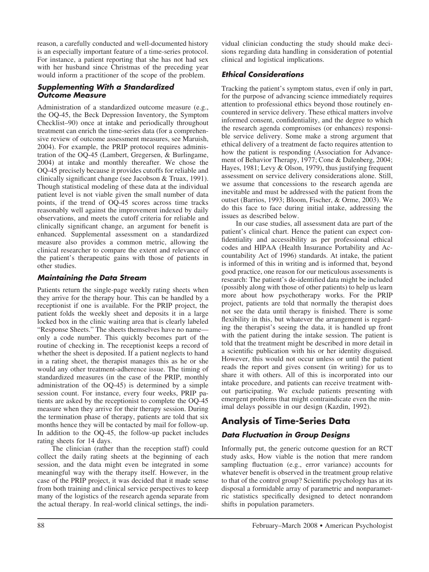reason, a carefully conducted and well-documented history is an especially important feature of a time-series protocol. For instance, a patient reporting that she has not had sex with her husband since Christmas of the preceding year would inform a practitioner of the scope of the problem.

#### **Supplementing With a Standardized Outcome Measure**

Administration of a standardized outcome measure (e.g., the OQ-45, the Beck Depression Inventory, the Symptom Checklist–90) once at intake and periodically throughout treatment can enrich the time-series data (for a comprehensive review of outcome assessment measures, see Maruish, 2004). For example, the PRIP protocol requires administration of the OQ-45 (Lambert, Gregersen, & Burlingame, 2004) at intake and monthly thereafter. We chose the OQ-45 precisely because it provides cutoffs for reliable and clinically significant change (see Jacobson & Truax, 1991). Though statistical modeling of these data at the individual patient level is not viable given the small number of data points, if the trend of OQ-45 scores across time tracks reasonably well against the improvement indexed by daily observations, and meets the cutoff criteria for reliable and clinically significant change, an argument for benefit is enhanced. Supplemental assessment on a standardized measure also provides a common metric, allowing the clinical researcher to compare the extent and relevance of the patient's therapeutic gains with those of patients in other studies.

## **Maintaining the Data Stream**

Patients return the single-page weekly rating sheets when they arrive for the therapy hour. This can be handled by a receptionist if one is available. For the PRIP project, the patient folds the weekly sheet and deposits it in a large locked box in the clinic waiting area that is clearly labeled "Response Sheets." The sheets themselves have no name only a code number. This quickly becomes part of the routine of checking in. The receptionist keeps a record of whether the sheet is deposited. If a patient neglects to hand in a rating sheet, the therapist manages this as he or she would any other treatment-adherence issue. The timing of standardized measures (in the case of the PRIP, monthly administration of the OQ-45) is determined by a simple session count. For instance, every four weeks, PRIP patients are asked by the receptionist to complete the OQ-45 measure when they arrive for their therapy session. During the termination phase of therapy, patients are told that six months hence they will be contacted by mail for follow-up. In addition to the OQ-45, the follow-up packet includes rating sheets for 14 days.

The clinician (rather than the reception staff) could collect the daily rating sheets at the beginning of each session, and the data might even be integrated in some meaningful way with the therapy itself. However, in the case of the PRIP project, it was decided that it made sense from both training and clinical service perspectives to keep many of the logistics of the research agenda separate from the actual therapy. In real-world clinical settings, the individual clinician conducting the study should make decisions regarding data handling in consideration of potential clinical and logistical implications.

# **Ethical Considerations**

Tracking the patient's symptom status, even if only in part, for the purpose of advancing science immediately requires attention to professional ethics beyond those routinely encountered in service delivery. These ethical matters involve informed consent, confidentiality, and the degree to which the research agenda compromises (or enhances) responsible service delivery. Some make a strong argument that ethical delivery of a treatment de facto requires attention to how the patient is responding (Association for Advancement of Behavior Therapy, 1977; Cone & Dalenberg, 2004; Hayes, 1981; Levy & Olson, 1979), thus justifying frequent assessment on service delivery considerations alone. Still, we assume that concessions to the research agenda are inevitable and must be addressed with the patient from the outset (Barrios, 1993; Bloom, Fischer, & Orme, 2003). We do this face to face during initial intake, addressing the issues as described below.

In our case studies, all assessment data are part of the patient's clinical chart. Hence the patient can expect confidentiality and accessibility as per professional ethical codes and HIPAA (Health Insurance Portability and Accountability Act of 1996) standards. At intake, the patient is informed of this in writing and is informed that, beyond good practice, one reason for our meticulous assessments is research: The patient's de-identified data might be included (possibly along with those of other patients) to help us learn more about how psychotherapy works. For the PRIP project, patients are told that normally the therapist does not see the data until therapy is finished. There is some flexibility in this, but whatever the arrangement is regarding the therapist's seeing the data, it is handled up front with the patient during the intake session. The patient is told that the treatment might be described in more detail in a scientific publication with his or her identity disguised. However, this would not occur unless or until the patient reads the report and gives consent (in writing) for us to share it with others. All of this is incorporated into our intake procedure, and patients can receive treatment without participating. We exclude patients presenting with emergent problems that might contraindicate even the minimal delays possible in our design (Kazdin, 1992).

# **Analysis of Time-Series Data**

# **Data Fluctuation in Group Designs**

Informally put, the generic outcome question for an RCT study asks, How viable is the notion that mere random sampling fluctuation (e.g., error variance) accounts for whatever benefit is observed in the treatment group relative to that of the control group? Scientific psychology has at its disposal a formidable array of parametric and nonparametric statistics specifically designed to detect nonrandom shifts in population parameters.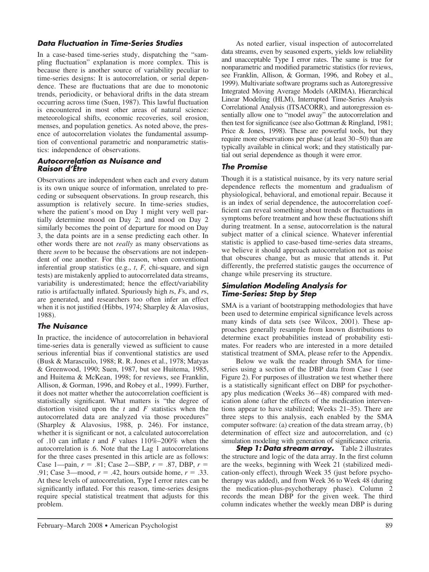## **Data Fluctuation in Time-Series Studies**

In a case-based time-series study, dispatching the "sampling fluctuation" explanation is more complex. This is because there is another source of variability peculiar to time-series designs: It is autocorrelation, or serial dependence. These are fluctuations that are due to monotonic trends, periodicity, or behavioral drifts in the data stream occurring across time (Suen, 1987). This lawful fluctuation is encountered in most other areas of natural science: meteorological shifts, economic recoveries, soil erosion, menses, and population genetics. As noted above, the presence of autocorrelation violates the fundamental assumption of conventional parametric and nonparametric statistics: independence of observations.

### **Autocorrelation as Nuisance and Raison d'Eˆtre**

Observations are independent when each and every datum is its own unique source of information, unrelated to preceding or subsequent observations. In group research, this assumption is relatively secure. In time-series studies, where the patient's mood on Day 1 might very well partially determine mood on Day 2; and mood on Day 2 similarly becomes the point of departure for mood on Day 3, the data points are in a sense predicting each other. In other words there are not *really* as many observations as there *seem* to be because the observations are not independent of one another. For this reason, when conventional inferential group statistics (e.g., *t*, *F,* chi-square, and sign tests) are mistakenly applied to autocorrelated data streams, variability is underestimated; hence the effect/variability ratio is artifactually inflated. Spuriously high *t*s, *F*s, and *r*s, are generated, and researchers too often infer an effect when it is not justified (Hibbs, 1974; Sharpley & Alavosius, 1988).

# **The Nuisance**

In practice, the incidence of autocorrelation in behavioral time-series data is generally viewed as sufficient to cause serious inferential bias if conventional statistics are used (Busk & Marascuilo, 1988; R. R. Jones et al., 1978; Matyas & Greenwood, 1990; Suen, 1987, but see Huitema, 1985, and Huitema & McKean, 1998; for reviews, see Franklin, Allison, & Gorman, 1996, and Robey et al., 1999). Further, it does not matter whether the autocorrelation coefficient is statistically significant. What matters is "the degree of distortion visited upon the *t* and *F* statistics when the autocorrelated data are analyzed via those procedures" (Sharpley & Alavosius, 1988, p. 246). For instance, whether it is significant or not, a calculated autocorrelation of .10 can inflate *t* and *F* values 110%–200% when the autocorrelation is .6. Note that the Lag 1 autocorrelations for the three cases presented in this article are as follows: Case 1—pain,  $r = .81$ ; Case 2—SBP,  $r = .87$ , DBP,  $r =$ .91; Case 3—mood,  $r = .42$ , hours outside home,  $r = .33$ . At these levels of autocorrelation, Type I error rates can be significantly inflated. For this reason, time-series designs require special statistical treatment that adjusts for this problem.

As noted earlier, visual inspection of autocorrelated data streams, even by seasoned experts, yields low reliability and unacceptable Type I error rates. The same is true for nonparametric and modified parametric statistics (for reviews, see Franklin, Allison, & Gorman, 1996, and Robey et al., 1999). Multivariate software programs such as Autoregressive Integrated Moving Average Models (ARIMA), Hierarchical Linear Modeling (HLM), Interrupted Time-Series Analysis Correlational Analysis (ITSACORR), and autoregression essentially allow one to "model away" the autocorrelation and then test for significance (see also Gottman & Ringland, 1981; Price & Jones, 1998). These are powerful tools, but they require more observations per phase (at least 30 –50) than are typically available in clinical work; and they statistically partial out serial dependence as though it were error.

## **The Promise**

Though it is a statistical nuisance, by its very nature serial dependence reflects the momentum and gradualism of physiological, behavioral, and emotional repair. Because it is an index of serial dependence, the autocorrelation coefficient can reveal something about trends or fluctuations in symptoms before treatment and how these fluctuations shift during treatment. In a sense, autocorrelation is the natural subject matter of a clinical science. Whatever inferential statistic is applied to case-based time-series data streams, we believe it should approach autocorrelation not as noise that obscures change, but as music that attends it. Put differently, the preferred statistic gauges the occurrence of change while preserving its structure.

#### **Simulation Modeling Analysis for Time-Series: Step by Step**

SMA is a variant of bootstrapping methodologies that have been used to determine empirical significance levels across many kinds of data sets (see Wilcox, 2001). These approaches generally resample from known distributions to determine exact probabilities instead of probability estimates. For readers who are interested in a more detailed statistical treatment of SMA, please refer to the Appendix.

Below we walk the reader through SMA for timeseries using a section of the DBP data from Case 1 (see Figure 2). For purposes of illustration we test whether there is a statistically significant effect on DBP for psychotherapy plus medication (Weeks 36 – 48) compared with medication alone (after the effects of the medication interventions appear to have stabilized; Weeks 21–35). There are three steps to this analysis, each enabled by the SMA computer software: (a) creation of the data stream array, (b) determination of effect size and autocorrelation, and (c) simulation modeling with generation of significance criteria.

**Step 1: Data stream array.** Table 2 illustrates the structure and logic of the data array. In the first column are the weeks, beginning with Week 21 (stabilized medication-only effect), through Week 35 (just before psychotherapy was added), and from Week 36 to Week 48 (during the medication-plus-psychotherapy phase). Column 2 records the mean DBP for the given week. The third column indicates whether the weekly mean DBP is during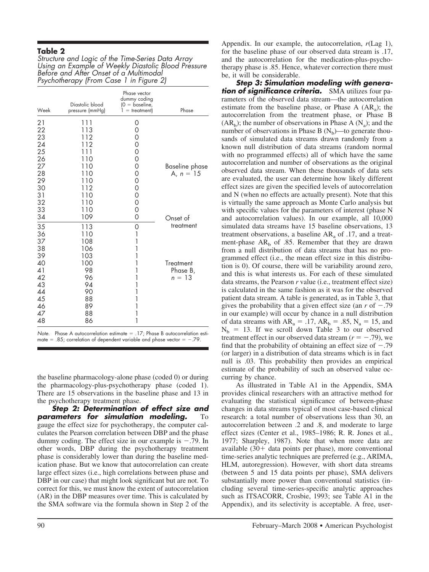#### **Table 2**

Structure and Logic of the Time-Series Data Array Using an Example of Weekly Diastolic Blood Pressure Before and After Onset of a Multimodal Psychotherapy (From Case 1 in Figure 2)

| Week | Diastolic blood<br>pressure (mmHg) | Phase vector<br>dummy coding<br>$ 0 = \text{baseline}$ ,<br>$=$ treatment)<br>L | Phase                 |
|------|------------------------------------|---------------------------------------------------------------------------------|-----------------------|
| 21   | 111                                | 0                                                                               |                       |
| 22   | 13                                 | $\mathbf{O}$                                                                    |                       |
| 23   | 12                                 | $\circ$                                                                         |                       |
| 24   | 12                                 |                                                                                 |                       |
| 25   | 111                                | $\begin{matrix} 0 \\ 0 \\ 0 \end{matrix}$                                       |                       |
| 26   | 110                                |                                                                                 |                       |
| 27   | 110                                | $\overline{O}$                                                                  | <b>Baseline</b> phase |
| 28   | 110                                | $\circ$                                                                         | A, $n = 15$           |
| 29   | 110                                | $\circ$                                                                         |                       |
| 30   | 112                                | $\circ$                                                                         |                       |
| 31   | 110                                | $\circ$                                                                         |                       |
| 32   | 110                                | $\overline{O}$                                                                  |                       |
| 33   | 110                                | $\mathbf 0$                                                                     |                       |
| 34   | 109                                | $\mathbf 0$                                                                     | Onset of              |
| 35   | 113                                | 0                                                                               | treatment             |
| 36   | 110                                | 1                                                                               |                       |
| 37   | 108                                | 1                                                                               |                       |
| 38   | 106                                | 1                                                                               |                       |
| 39   | 103                                | 1                                                                               |                       |
| 40   | 100                                | 1                                                                               | Treatment             |
| 41   | 98                                 | 1                                                                               | Phase B,              |
| 42   | 96                                 | 1                                                                               | $n = 13$              |
| 43   | 94                                 | 1                                                                               |                       |
| 44   | 90                                 | 1                                                                               |                       |
| 45   | 88                                 | 1                                                                               |                       |
| 46   | 89                                 | 1                                                                               |                       |
| 47   | 88                                 | 1                                                                               |                       |
| 48   | 86                                 | 1                                                                               |                       |
|      |                                    |                                                                                 |                       |

Note. Phase A autocorrelation estimate  $= .17$ ; Phase B autocorrelation estimate  $=$  .85; correlation of dependent variable and phase vector  $=$  -.79.

the baseline pharmacology-alone phase (coded 0) or during the pharmacology-plus-psychotherapy phase (coded 1). There are 15 observations in the baseline phase and 13 in the psychotherapy treatment phase.

**Step 2: Determination of effect size and parameters for simulation modeling.** To gauge the effect size for psychotherapy, the computer calculates the Pearson correlation between DBP and the phase dummy coding. The effect size in our example is  $-.79$ . In other words, DBP during the psychotherapy treatment phase is considerably lower than during the baseline medication phase. But we know that autocorrelation can create large effect sizes (i.e., high correlations between phase and DBP in our case) that might look significant but are not. To correct for this, we must know the extent of autocorrelation (AR) in the DBP measures over time. This is calculated by the SMA software via the formula shown in Step 2 of the

Appendix. In our example, the autocorrelation, *r*(Lag 1), for the baseline phase of our observed data stream is .17, and the autocorrelation for the medication-plus-psychotherapy phase is .85. Hence, whatever correction there must be, it will be considerable.

**Step 3: Simulation modeling with generation of significance criteria.** SMA utilizes four parameters of the observed data stream—the autocorrelation estimate from the baseline phase, or Phase A  $(AR_a)$ ; the autocorrelation from the treatment phase, or Phase B  $(AR<sub>b</sub>)$ ; the number of observations in Phase A  $(N<sub>a</sub>)$ ; and the number of observations in Phase B  $(N_b)$ —to generate thousands of simulated data streams drawn randomly from a known null distribution of data streams (random normal with no programmed effects) all of which have the same autocorrelation and number of observations as the original observed data stream. When these thousands of data sets are evaluated, the user can determine how likely different effect sizes are given the specified levels of autocorrelation and N (when no effects are actually present). Note that this is virtually the same approach as Monte Carlo analysis but with specific values for the parameters of interest (phase N and autocorrelation values). In our example, all 10,000 simulated data streams have 15 baseline observations, 13 treatment observations, a baseline  $AR<sub>a</sub>$  of .17, and a treatment-phase  $AR<sub>b</sub>$  of .85. Remember that they are drawn from a null distribution of data streams that has no programmed effect (i.e., the mean effect size in this distribution is 0). Of course, there will be variability around zero, and this is what interests us. For each of these simulated data streams, the Pearson *r* value (i.e., treatment effect size) is calculated in the same fashion as it was for the observed patient data stream. A table is generated, as in Table 3, that gives the probability that a given effect size (an  $r$  of  $-.79$ ) in our example) will occur by chance in a null distribution of data streams with  $AR_a = .17$ ,  $AR_b = .85$ ,  $N_a = 15$ , and  $N<sub>b</sub> = 13$ . If we scroll down Table 3 to our observed treatment effect in our observed data stream  $(r = -.79)$ , we find that the probability of obtaining an effect size of  $-.79$ (or larger) in a distribution of data streams which is in fact null is .03. This probability then provides an empirical estimate of the probability of such an observed value occurring by chance.

As illustrated in Table A1 in the Appendix, SMA provides clinical researchers with an attractive method for evaluating the statistical significance of between-phase changes in data streams typical of most case-based clinical research: a total number of observations less than 30, an autocorrelation between .2 and .8, and moderate to large effect sizes (Center et al., 1985–1986; R. R. Jones et al., 1977; Sharpley, 1987). Note that when more data are available  $(30 + data points per phase)$ , more conventional time-series analytic techniques are preferred (e.g., ARIMA, HLM, autoregression). However, with short data streams (between 5 and 15 data points per phase), SMA delivers substantially more power than conventional statistics (including several time-series-specific analytic approaches such as ITSACORR, Crosbie, 1993; see Table A1 in the Appendix), and its selectivity is acceptable. A free, user-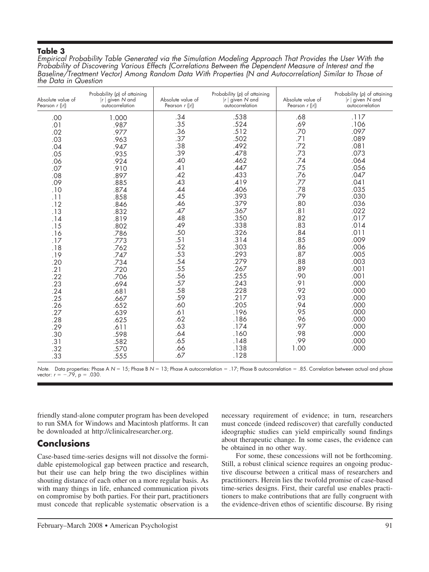#### **Table 3**

| Empirical Probability Table Generated via the Simulation Modeling Approach That Provides the User With the |
|------------------------------------------------------------------------------------------------------------|
| Probability of Discovering Various Effects (Correlations Between the Dependent Measure of Interest and the |
| Baseline/Treatment Vector) Among Random Data With Properties (N and Autocorrelation) Similar to Those of   |
| the Data in Question                                                                                       |

| .34<br>.538<br>.68<br>.117<br>.00<br>1.000<br>.35<br>.69<br>.524<br>.106<br>.01<br>.987<br>.36<br>.512<br>.70<br>.097<br>.02<br>.977<br>.37<br>.502<br>.089<br>.71<br>.03<br>.963<br>.38<br>.72<br>.492<br>.081<br>.04<br>.947<br>.73<br>.39<br>.073<br>.478<br>.05<br>.935<br>.40<br>.74<br>.064<br>.462<br>.06<br>.924<br>.75<br>.41<br>.056<br>.447<br>.07<br>.910<br>.42<br>.433<br>.76<br>.047<br>.08<br>.897<br>.43<br>.77<br>.419<br>.041<br>.09<br>.885<br>.78<br>.035<br>.44<br>.406<br>.10<br>.874<br>.45<br>.79<br>.393<br>.030<br>.11<br>.858<br>.46<br>.379<br>.80<br>.036<br>.12<br>.846<br>.47<br>.022<br>.81<br>.367<br>.13<br>.832<br>.82<br>.48<br>.350<br>.017<br>.819<br>.14<br>.49<br>.83<br>.338<br>.014<br>.15<br>.802<br>.50<br>.326<br>.011<br>.84<br>.16<br>.786<br>.51<br>.009<br>.314<br>.85<br>.17<br>.773<br>.52<br>.006<br>.303<br>.86<br>.18<br>.762<br>.53<br>.87<br>.293<br>.005<br>.19<br>.747<br>.54<br>.279<br>.88<br>.003<br>.20<br>.734<br>.55<br>.89<br>.001<br>.267<br>.21<br>.720<br>.56<br>.90<br>.001<br>.255<br>.22<br>.706<br>.57<br>.91<br>.000<br>.243<br>.23<br>.694<br>.58<br>.92<br>.000<br>.228<br>.24<br>.681<br>.59<br>.93<br>.217<br>.000<br>.25<br>.667<br>.60<br>.205<br>.94<br>.000<br>.26<br>.652<br>.95<br>.000<br>.27<br>.61<br>.196<br>.639<br>.62<br>.96<br>.000<br>.186<br>.28<br>.625<br>.63<br>.97<br>.000<br>.174<br>.29<br>.611<br>.98<br>.000<br>.64<br>.160<br>.30<br>.598<br>.65<br>.99<br>.000<br>.148<br>.31<br>.582<br>.000<br>.66<br>.138<br>1.00<br>.32<br>.570<br>.67<br>.128<br>.33<br>.555 | Absolute value of<br>Pearson $r$ ( r ) | Probability (p) of attaining<br>$ r $ given N and<br>autocorrelation | Absolute value of<br>Pearson $r( r )$ | Probability (p) of attaining<br>$ r $ given N and<br>autocorrelation | Absolute value of<br>Pearson $r( r )$ | Probability (p) of attaining<br>$ r $ given N and<br>autocorrelation |
|---------------------------------------------------------------------------------------------------------------------------------------------------------------------------------------------------------------------------------------------------------------------------------------------------------------------------------------------------------------------------------------------------------------------------------------------------------------------------------------------------------------------------------------------------------------------------------------------------------------------------------------------------------------------------------------------------------------------------------------------------------------------------------------------------------------------------------------------------------------------------------------------------------------------------------------------------------------------------------------------------------------------------------------------------------------------------------------------------------------------------------------------------------------------------------------------------------------------------------------------------------------------------------------------------------------------------------------------------------------------------------------------------------------------------------------------------------------------------------------------------------------------------------------------------------------------------|----------------------------------------|----------------------------------------------------------------------|---------------------------------------|----------------------------------------------------------------------|---------------------------------------|----------------------------------------------------------------------|
|                                                                                                                                                                                                                                                                                                                                                                                                                                                                                                                                                                                                                                                                                                                                                                                                                                                                                                                                                                                                                                                                                                                                                                                                                                                                                                                                                                                                                                                                                                                                                                           |                                        |                                                                      |                                       |                                                                      |                                       |                                                                      |
|                                                                                                                                                                                                                                                                                                                                                                                                                                                                                                                                                                                                                                                                                                                                                                                                                                                                                                                                                                                                                                                                                                                                                                                                                                                                                                                                                                                                                                                                                                                                                                           |                                        |                                                                      |                                       |                                                                      |                                       |                                                                      |
|                                                                                                                                                                                                                                                                                                                                                                                                                                                                                                                                                                                                                                                                                                                                                                                                                                                                                                                                                                                                                                                                                                                                                                                                                                                                                                                                                                                                                                                                                                                                                                           |                                        |                                                                      |                                       |                                                                      |                                       |                                                                      |
|                                                                                                                                                                                                                                                                                                                                                                                                                                                                                                                                                                                                                                                                                                                                                                                                                                                                                                                                                                                                                                                                                                                                                                                                                                                                                                                                                                                                                                                                                                                                                                           |                                        |                                                                      |                                       |                                                                      |                                       |                                                                      |
|                                                                                                                                                                                                                                                                                                                                                                                                                                                                                                                                                                                                                                                                                                                                                                                                                                                                                                                                                                                                                                                                                                                                                                                                                                                                                                                                                                                                                                                                                                                                                                           |                                        |                                                                      |                                       |                                                                      |                                       |                                                                      |
|                                                                                                                                                                                                                                                                                                                                                                                                                                                                                                                                                                                                                                                                                                                                                                                                                                                                                                                                                                                                                                                                                                                                                                                                                                                                                                                                                                                                                                                                                                                                                                           |                                        |                                                                      |                                       |                                                                      |                                       |                                                                      |
|                                                                                                                                                                                                                                                                                                                                                                                                                                                                                                                                                                                                                                                                                                                                                                                                                                                                                                                                                                                                                                                                                                                                                                                                                                                                                                                                                                                                                                                                                                                                                                           |                                        |                                                                      |                                       |                                                                      |                                       |                                                                      |
|                                                                                                                                                                                                                                                                                                                                                                                                                                                                                                                                                                                                                                                                                                                                                                                                                                                                                                                                                                                                                                                                                                                                                                                                                                                                                                                                                                                                                                                                                                                                                                           |                                        |                                                                      |                                       |                                                                      |                                       |                                                                      |
|                                                                                                                                                                                                                                                                                                                                                                                                                                                                                                                                                                                                                                                                                                                                                                                                                                                                                                                                                                                                                                                                                                                                                                                                                                                                                                                                                                                                                                                                                                                                                                           |                                        |                                                                      |                                       |                                                                      |                                       |                                                                      |
|                                                                                                                                                                                                                                                                                                                                                                                                                                                                                                                                                                                                                                                                                                                                                                                                                                                                                                                                                                                                                                                                                                                                                                                                                                                                                                                                                                                                                                                                                                                                                                           |                                        |                                                                      |                                       |                                                                      |                                       |                                                                      |
|                                                                                                                                                                                                                                                                                                                                                                                                                                                                                                                                                                                                                                                                                                                                                                                                                                                                                                                                                                                                                                                                                                                                                                                                                                                                                                                                                                                                                                                                                                                                                                           |                                        |                                                                      |                                       |                                                                      |                                       |                                                                      |
|                                                                                                                                                                                                                                                                                                                                                                                                                                                                                                                                                                                                                                                                                                                                                                                                                                                                                                                                                                                                                                                                                                                                                                                                                                                                                                                                                                                                                                                                                                                                                                           |                                        |                                                                      |                                       |                                                                      |                                       |                                                                      |
|                                                                                                                                                                                                                                                                                                                                                                                                                                                                                                                                                                                                                                                                                                                                                                                                                                                                                                                                                                                                                                                                                                                                                                                                                                                                                                                                                                                                                                                                                                                                                                           |                                        |                                                                      |                                       |                                                                      |                                       |                                                                      |
|                                                                                                                                                                                                                                                                                                                                                                                                                                                                                                                                                                                                                                                                                                                                                                                                                                                                                                                                                                                                                                                                                                                                                                                                                                                                                                                                                                                                                                                                                                                                                                           |                                        |                                                                      |                                       |                                                                      |                                       |                                                                      |
|                                                                                                                                                                                                                                                                                                                                                                                                                                                                                                                                                                                                                                                                                                                                                                                                                                                                                                                                                                                                                                                                                                                                                                                                                                                                                                                                                                                                                                                                                                                                                                           |                                        |                                                                      |                                       |                                                                      |                                       |                                                                      |
|                                                                                                                                                                                                                                                                                                                                                                                                                                                                                                                                                                                                                                                                                                                                                                                                                                                                                                                                                                                                                                                                                                                                                                                                                                                                                                                                                                                                                                                                                                                                                                           |                                        |                                                                      |                                       |                                                                      |                                       |                                                                      |
|                                                                                                                                                                                                                                                                                                                                                                                                                                                                                                                                                                                                                                                                                                                                                                                                                                                                                                                                                                                                                                                                                                                                                                                                                                                                                                                                                                                                                                                                                                                                                                           |                                        |                                                                      |                                       |                                                                      |                                       |                                                                      |
|                                                                                                                                                                                                                                                                                                                                                                                                                                                                                                                                                                                                                                                                                                                                                                                                                                                                                                                                                                                                                                                                                                                                                                                                                                                                                                                                                                                                                                                                                                                                                                           |                                        |                                                                      |                                       |                                                                      |                                       |                                                                      |
|                                                                                                                                                                                                                                                                                                                                                                                                                                                                                                                                                                                                                                                                                                                                                                                                                                                                                                                                                                                                                                                                                                                                                                                                                                                                                                                                                                                                                                                                                                                                                                           |                                        |                                                                      |                                       |                                                                      |                                       |                                                                      |
|                                                                                                                                                                                                                                                                                                                                                                                                                                                                                                                                                                                                                                                                                                                                                                                                                                                                                                                                                                                                                                                                                                                                                                                                                                                                                                                                                                                                                                                                                                                                                                           |                                        |                                                                      |                                       |                                                                      |                                       |                                                                      |
|                                                                                                                                                                                                                                                                                                                                                                                                                                                                                                                                                                                                                                                                                                                                                                                                                                                                                                                                                                                                                                                                                                                                                                                                                                                                                                                                                                                                                                                                                                                                                                           |                                        |                                                                      |                                       |                                                                      |                                       |                                                                      |
|                                                                                                                                                                                                                                                                                                                                                                                                                                                                                                                                                                                                                                                                                                                                                                                                                                                                                                                                                                                                                                                                                                                                                                                                                                                                                                                                                                                                                                                                                                                                                                           |                                        |                                                                      |                                       |                                                                      |                                       |                                                                      |
|                                                                                                                                                                                                                                                                                                                                                                                                                                                                                                                                                                                                                                                                                                                                                                                                                                                                                                                                                                                                                                                                                                                                                                                                                                                                                                                                                                                                                                                                                                                                                                           |                                        |                                                                      |                                       |                                                                      |                                       |                                                                      |
|                                                                                                                                                                                                                                                                                                                                                                                                                                                                                                                                                                                                                                                                                                                                                                                                                                                                                                                                                                                                                                                                                                                                                                                                                                                                                                                                                                                                                                                                                                                                                                           |                                        |                                                                      |                                       |                                                                      |                                       |                                                                      |
|                                                                                                                                                                                                                                                                                                                                                                                                                                                                                                                                                                                                                                                                                                                                                                                                                                                                                                                                                                                                                                                                                                                                                                                                                                                                                                                                                                                                                                                                                                                                                                           |                                        |                                                                      |                                       |                                                                      |                                       |                                                                      |
|                                                                                                                                                                                                                                                                                                                                                                                                                                                                                                                                                                                                                                                                                                                                                                                                                                                                                                                                                                                                                                                                                                                                                                                                                                                                                                                                                                                                                                                                                                                                                                           |                                        |                                                                      |                                       |                                                                      |                                       |                                                                      |
|                                                                                                                                                                                                                                                                                                                                                                                                                                                                                                                                                                                                                                                                                                                                                                                                                                                                                                                                                                                                                                                                                                                                                                                                                                                                                                                                                                                                                                                                                                                                                                           |                                        |                                                                      |                                       |                                                                      |                                       |                                                                      |
|                                                                                                                                                                                                                                                                                                                                                                                                                                                                                                                                                                                                                                                                                                                                                                                                                                                                                                                                                                                                                                                                                                                                                                                                                                                                                                                                                                                                                                                                                                                                                                           |                                        |                                                                      |                                       |                                                                      |                                       |                                                                      |
|                                                                                                                                                                                                                                                                                                                                                                                                                                                                                                                                                                                                                                                                                                                                                                                                                                                                                                                                                                                                                                                                                                                                                                                                                                                                                                                                                                                                                                                                                                                                                                           |                                        |                                                                      |                                       |                                                                      |                                       |                                                                      |
|                                                                                                                                                                                                                                                                                                                                                                                                                                                                                                                                                                                                                                                                                                                                                                                                                                                                                                                                                                                                                                                                                                                                                                                                                                                                                                                                                                                                                                                                                                                                                                           |                                        |                                                                      |                                       |                                                                      |                                       |                                                                      |
|                                                                                                                                                                                                                                                                                                                                                                                                                                                                                                                                                                                                                                                                                                                                                                                                                                                                                                                                                                                                                                                                                                                                                                                                                                                                                                                                                                                                                                                                                                                                                                           |                                        |                                                                      |                                       |                                                                      |                                       |                                                                      |
|                                                                                                                                                                                                                                                                                                                                                                                                                                                                                                                                                                                                                                                                                                                                                                                                                                                                                                                                                                                                                                                                                                                                                                                                                                                                                                                                                                                                                                                                                                                                                                           |                                        |                                                                      |                                       |                                                                      |                                       |                                                                      |
|                                                                                                                                                                                                                                                                                                                                                                                                                                                                                                                                                                                                                                                                                                                                                                                                                                                                                                                                                                                                                                                                                                                                                                                                                                                                                                                                                                                                                                                                                                                                                                           |                                        |                                                                      |                                       |                                                                      |                                       |                                                                      |
|                                                                                                                                                                                                                                                                                                                                                                                                                                                                                                                                                                                                                                                                                                                                                                                                                                                                                                                                                                                                                                                                                                                                                                                                                                                                                                                                                                                                                                                                                                                                                                           |                                        |                                                                      |                                       |                                                                      |                                       |                                                                      |
|                                                                                                                                                                                                                                                                                                                                                                                                                                                                                                                                                                                                                                                                                                                                                                                                                                                                                                                                                                                                                                                                                                                                                                                                                                                                                                                                                                                                                                                                                                                                                                           |                                        |                                                                      |                                       |                                                                      |                                       |                                                                      |

Note. Data properties: Phase A N = 15; Phase B N = 13; Phase A autocorrelation = .17; Phase B autocorrelation = .85. Correlation between actual and phase vector:  $r = -.79$ ,  $p = .030$ .

friendly stand-alone computer program has been developed to run SMA for Windows and Macintosh platforms. It can be downloaded at http://clinicalresearcher.org.

# **Conclusions**

Case-based time-series designs will not dissolve the formidable epistemological gap between practice and research, but their use can help bring the two disciplines within shouting distance of each other on a more regular basis. As with many things in life, enhanced communication pivots on compromise by both parties. For their part, practitioners must concede that replicable systematic observation is a necessary requirement of evidence; in turn, researchers must concede (indeed rediscover) that carefully conducted ideographic studies can yield empirically sound findings about therapeutic change. In some cases, the evidence can be obtained in no other way.

For some, these concessions will not be forthcoming. Still, a robust clinical science requires an ongoing productive discourse between a critical mass of researchers and practitioners. Herein lies the twofold promise of case-based time-series designs. First, their careful use enables practitioners to make contributions that are fully congruent with the evidence-driven ethos of scientific discourse. By rising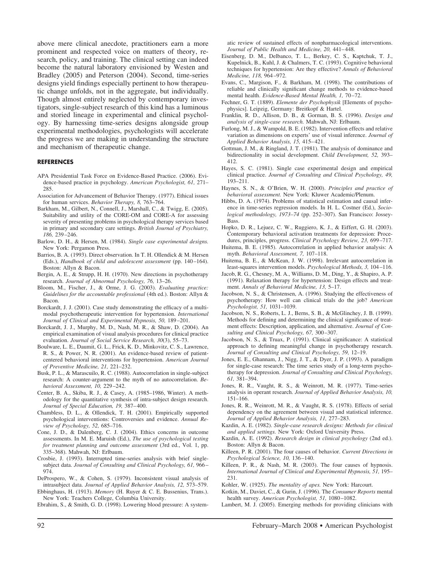above mere clinical anecdote, practitioners earn a more prominent and respected voice on matters of theory, research, policy, and training. The clinical setting can indeed become the natural laboratory envisioned by Westen and Bradley (2005) and Peterson (2004). Second, time-series designs yield findings especially pertinent to how therapeutic change unfolds, not in the aggregate, but individually. Though almost entirely neglected by contemporary investigators, single-subject research of this kind has a luminous and storied lineage in experimental and clinical psychology. By harnessing time-series designs alongside group experimental methodologies, psychologists will accelerate the progress we are making in understanding the structure and mechanism of therapeutic change.

#### **REFERENCES**

- APA Presidential Task Force on Evidence-Based Practice. (2006). Evidence-based practice in psychology. *American Psychologist, 61,* 271– 285.
- Association for Advancement of Behavior Therapy. (1977). Ethical issues for human services. *Behavior Therapy, 8,* 763–764.
- Barkham, M., Gilbert, N., Connell, J., Marshall, C., & Twigg, E. (2005). Suitability and utility of the CORE-OM and CORE-A for assessing severity of presenting problems in psychological therapy services based in primary and secondary care settings. *British Journal of Psychiatry, 186,* 239 –246.
- Barlow, D. H., & Hersen, M. (1984). *Single case experimental designs.* New York: Pergamon Press.
- Barrios, B. A. (1993). Direct observation. In T. H. Ollendick & M. Hersen (Eds.), *Handbook of child and adolescent assessment* (pp. 140-164). Boston: Allyn & Bacon.
- Bergin, A. E., & Strupp, H. H. (1970). New directions in psychotherapy research. *Journal of Abnormal Psychology, 76,* 13–26.
- Bloom, M., Fischer, J., & Orme, J. G. (2003). *Evaluating practice: Guidelines for the accountable professional* (4th ed.). Boston: Allyn & Bacon.
- Borckardt, J. J. (2001). Case study demonstrating the efficacy of a multimodal psychotherapeutic intervention for hypertension. *International Journal of Clinical and Experimental Hypnosis, 50,* 189 –201.
- Borckardt, J. J., Murphy, M. D., Nash, M. R., & Shaw, D. (2004). An empirical examination of visual analysis procedures for clinical practice evaluation. *Journal of Social Service Research, 30*(3), 55–73.
- Boulware, L. E., Daumit, G. L., Frick, K. D., Minkovitz, C. S., Lawrence, R. S., & Power, N. R. (2001). An evidence-based review of patientcentered behavioral interventions for hypertension. *American Journal of Preventive Medicine, 21,* 221–232.
- Busk, P. L., & Marascuilo, R. C. (1988). Autocorrelation in single-subject research: A counter-argument to the myth of no autocorrelation. *Behavioral Assessment, 10,* 229 –242.
- Center, B. A., Skiba, R. J., & Casey, A. (1985–1986, Winter). A methodology for the quantitative synthesis of intra-subject design research. *Journal of Special Education, 19,* 387– 400.
- Chambless, D. L., & Ollendick, T. H. (2001). Empirically supported psychological interventions: Controversies and evidence. *Annual Review of Psychology, 52,* 685–716.
- Cone, J. D., & Dalenberg, C. J. (2004). Ethics concerns in outcome assessments. In M. E. Maruish (Ed.), *The use of psychological testing for treatment planning and outcome assessment* (3rd ed., Vol. 1, pp. 335–368). Mahwah, NJ: Erlbaum.
- Crosbie, J. (1993). Interrupted time-series analysis with brief singlesubject data. *Journal of Consulting and Clinical Psychology, 61,* 966 – 974.
- DeProspero, W., & Cohen, S. (1979). Inconsistent visual analysis of intrasubject data. *Journal of Applied Behavior Analysis, 12,* 573–579.

Ebbinghaus, H. (1913). *Memory* (H. Ruyer & C. E. Bussenius, Trans.). New York: Teachers College, Columbia University.

Ebrahim, S., & Smith, G. D. (1998). Lowering blood pressure: A system-

atic review of sustained effects of nonpharmacological interventions. *Journal of Public Health and Medicine, 20,* 441– 448.

- Eisenberg, D. M., Delbanco, T. L., Berkey, C. S., Kaptchuk, T. J., Kupelnick, B., Kuhl, J. & Chalmers, T. C. (1993). Cognitive behavioral techniques for hypertension: Are they effective? *Annals of Behavioral Medicine, 118,* 964 –972.
- Evans, C., Margison, F., & Barkham, M. (1998). The contributions of reliable and clinically significant change methods to evidence-based mental health. *Evidence-Based Mental Health, 1,* 70 –72.
- Fechner, G. T. (1889). *Elemente der Psychophysik* [Elements of psychophysics]. Leipzig, Germany: Breitkopf & Hartel.
- Franklin, R. D., Allison, D. B., & Gorman, B. S. (1996). *Design and analysis of single-case research.* Mahwah, NJ: Erlbaum.
- Furlong, M. J., & Wampold, B. E. (1982). Intervention effects and relative variation as dimensions on experts' use of visual inference. *Journal of Applied Behavior Analysis, 15,* 415– 421.
- Gottman, J. M., & Ringland, J. T. (1981). The analysis of dominance and bidirectionality in social development. *Child Development, 52,* 393– 412.
- Hayes, S. C. (1981). Single case experimental design and empirical clinical practice. *Journal of Consulting and Clinical Psychology, 49,* 193–211.
- Haynes, S. N., & O'Brien, W. H. (2000). *Principles and practice of behavioral assessment.* New York: Kluwer Academic/Plenum.
- Hibbs, D. A. (1974). Problems of statistical estimation and causal inference in time-series regression models. In H. L. Costner (Ed.), *Sociological methodology, 1973–74* (pp. 252–307). San Francisco: Jossey-Bass.
- Hopko, D. R., Lejuez, C. W., Ruggiero, K. J., & Eiffert, G. H. (2003). Contemporary behavioral activation treatments for depression: Proce-
- dures, principles, progress. *Clinical Psychology Review, 23,* 699 –717. Huitema, B. E. (1985). Autocorrelation in applied behavior analysis: A myth. *Behavioral Assessment, 7,* 107–118.
- Huitema, B. E., & McKean, J. W. (1998). Irrelevant autocorrelation in least-squares intervention models. *Psychological Methods, 3,* 104 –116.
- Jacob, R. G., Chesney, M. A., Williams, D. M., Ding, Y., & Shapiro, A. P. (1991). Relaxation therapy for hypertension: Design effects and treatment. *Annals of Behavioral Medicine, 13,* 5–17.
- Jacobson, N. S., & Christensen, A. (1996). Studying the effectiveness of psychotherapy: How well can clinical trials do the job? *American Psychologist, 51,* 1031–1039.
- Jacobson, N. S., Roberts, L. J., Berns, S. B., & McGlinchey, J. B. (1999). Methods for defining and determining the clinical significance of treatment effects: Description, application, and alternative. *Journal of Consulting and Clinical Psychology, 67,* 300 –307.
- Jacobson, N. S., & Truax, P. (1991). Clinical significance: A statistical approach to defining meaningful change in psychotherapy research. *Journal of Consulting and Clinical Psychology, 59,* 12–19.
- Jones, E. E., Ghannam, J., Nigg, J. T., & Dyer, J. P. (1993). A paradigm for single-case research: The time series study of a long-term psychotherapy for depression. *Journal of Consulting and Clinical Psychology, 61,* 381–394.
- Jones, R. R., Vaught, R. S., & Weinrott, M. R. (1977). Time-series analysis in operant research. *Journal of Applied Behavior Analysis, 10,* 151–166.
- Jones, R. R., Weinrott, M. R., & Vaught, R. S. (1978). Effects of serial dependency on the agreement between visual and statistical inference. *Journal of Applied Behavior Analysis, 11,* 277–283.
- Kazdin, A. E. (1982). *Single-case research designs: Methods for clinical and applied settings.* New York: Oxford University Press.
- Kazdin, A. E. (1992). *Research design in clinical psychology* (2nd ed.). Boston: Allyn & Bacon.
- Killeen, P. R. (2001). The four causes of behavior. *Current Directions in Psychological Science, 10,* 136 –140.
- Killeen, P. R., & Nash, M. R. (2003). The four causes of hypnosis. *International Journal of Clinical and Experimental Hypnosis, 51,* 195– 231.
- Kohler, W. (1925). *The mentality of apes.* New York: Harcourt.
- Kotkin, M., Daviet, C., & Gurin, J. (1996). The *Consumer Reports* mental health survey. *American Psychologist, 51,* 1080 –1082.
- Lambert, M. J. (2005). Emerging methods for providing clinicians with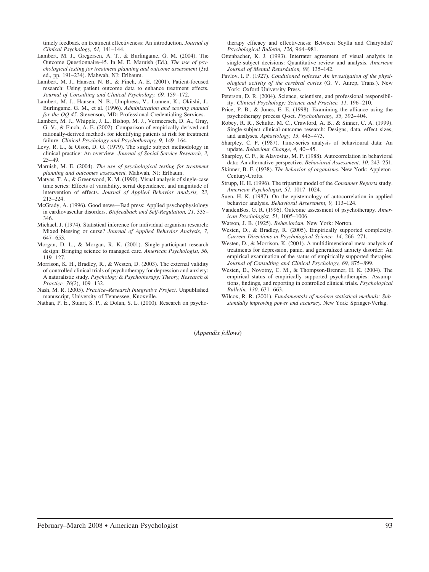timely feedback on treatment effectiveness: An introduction. *Journal of Clinical Psychology, 61,* 141–144.

- Lambert, M. J., Gregersen, A. T., & Burlingame, G. M. (2004). The Outcome Questionnaire-45. In M. E. Maruish (Ed.), *The use of psychological testing for treatment planning and outcome assessment* (3rd ed., pp. 191–234). Mahwah, NJ: Erlbaum.
- Lambert, M. J., Hansen, N. B., & Finch, A. E. (2001). Patient-focused research: Using patient outcome data to enhance treatment effects. *Journal of Consulting and Clinical Psychology, 69,* 159 –172.
- Lambert, M. J., Hansen, N. B., Umphress, V., Lunnen, K., Okiishi, J., Burlingame, G. M., et al. (1996). *Administration and scoring manual for the OQ-45.* Stevenson, MD: Professional Credentialing Services.
- Lambert, M. J., Whipple, J. L., Bishop, M. J., Vermeersch, D. A., Gray, G. V., & Finch, A. E. (2002). Comparison of empirically-derived and rationally-derived methods for identifying patients at risk for treatment failure. *Clinical Psychology and Psychotherapy, 9,* 149 –164.
- Levy, R. L., & Olson, D. G. (1979). The single subject methodology in clinical practice: An overview. *Journal of Social Service Research, 3,*  $25 - 49.$
- Maruish, M. E. (2004). *The use of psychological testing for treatment planning and outcomes assessment.* Mahwah, NJ: Erlbaum.
- Matyas, T. A., & Greenwood, K. M. (1990). Visual analysis of single-case time series: Effects of variability, serial dependence, and magnitude of intervention of effects. *Journal of Applied Behavior Analysis, 23,* 213–224.
- McGrady, A. (1996). Good news—Bad press: Applied psychophysiology in cardiovascular disorders. *Biofeedback and Self-Regulation, 21,* 335– 346.
- Michael, J. (1974). Statistical inference for individual organism research: Mixed blessing or curse? *Journal of Applied Behavior Analysis, 7,*  $647 - 653$ .
- Morgan, D. L., & Morgan, R. K. (2001). Single-participant research design: Bringing science to managed care. *American Psychologist, 56,* 119 –127.
- Morrison, K. H., Bradley, R., & Westen, D. (2003). The external validity of controlled clinical trials of psychotherapy for depression and anxiety: A naturalistic study. *Psychology & Psychotherapy: Theory, Research & Practice, 76(2*), 109 –132.
- Nash, M. R. (2005). *Practice–Research Integrative Project.* Unpublished manuscript, University of Tennessee, Knoxville.
- Nathan, P. E., Stuart, S. P., & Dolan, S. L. (2000). Research on psycho-

therapy efficacy and effectiveness: Between Scylla and Charybdis? *Psychological Bulletin, 126,* 964 –981.

- Ottenbacher, K. J. (1993). Interrater agreement of visual analysis in single-subject decisions: Quantitative review and analysis. *American Journal of Mental Retardation, 98,* 135–142.
- Pavlov, I. P. (1927). *Conditioned reflexes: An investigation of the physiological activity of the cerebral cortex* (G. V. Anrep, Trans.). New York: Oxford University Press.
- Peterson, D. R. (2004). Science, scientism, and professional responsibility. *Clinical Psychology: Science and Practice, 11,* 196 –210.
- Price, P. B., & Jones, E. E. (1998). Examining the alliance using the psychotherapy process Q-set. *Psychotherapy, 35,* 392– 404.
- Robey, R. R., Schultz, M. C., Crawford, A. B., & Sinner, C. A. (1999). Single-subject clinical-outcome research: Designs, data, effect sizes, and analyses. *Aphasiology, 13,* 445– 473.
- Sharpley, C. F. (1987). Time-series analysis of behavioural data: An update. *Behaviour Change*, 4, 40-45.
- Sharpley, C. F., & Alavosius, M. P. (1988). Autocorrelation in behavioral data: An alternative perspective. *Behavioral Assessment, 10,* 243–251.
- Skinner, B. F. (1938). *The behavior of organisms.* New York: Appleton-Century-Crofts.
- Strupp, H. H. (1996). The tripartite model of the *Consumer Reports* study. *American Psychologist, 51,* 1017–1024.
- Suen, H. K. (1987). On the epistemology of autocorrelation in applied behavior analysis. *Behavioral Assessment, 9,* 113–124.
- VandenBos, G. R. (1996). Outcome assessment of psychotherapy. *American Psychologist, 51,* 1005–1006.
- Watson, J. B. (1925). *Behaviorism.* New York: Norton.
- Westen, D., & Bradley, R. (2005). Empirically supported complexity. *Current Directions in Psychological Science, 14,* 266 –271.
- Westen, D., & Morrison, K. (2001). A multidimensional meta-analysis of treatments for depression, panic, and generalized anxiety disorder: An empirical examination of the status of empirically supported therapies. *Journal of Consulting and Clinical Psychology, 69,* 875– 899.
- Westen, D., Novotny, C. M., & Thompson-Brenner, H. K. (2004). The empirical status of empirically supported psychotherapies: Assumptions, findings, and reporting in controlled clinical trials. *Psychological Bulletin, 130,* 631– 663.
- Wilcox, R. R. (2001). *Fundamentals of modern statistical methods: Substantially improving power and accuracy.* New York: Springer-Verlag.

(*Appendix follows*)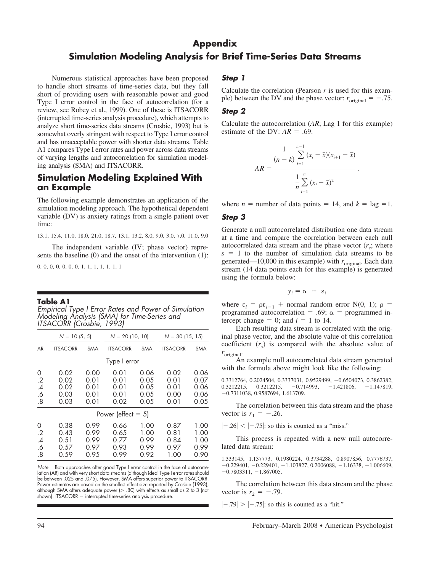# **Appendix Simulation Modeling Analysis for Brief Time-Series Data Streams**

Numerous statistical approaches have been proposed to handle short streams of time-series data, but they fall short of providing users with reasonable power and good Type I error control in the face of autocorrelation (for a review, see Robey et al., 1999). One of these is ITSACORR (interrupted time-series analysis procedure), which attempts to analyze short time-series data streams (Crosbie, 1993) but is somewhat overly stringent with respect to Type I error control and has unacceptable power with shorter data streams. Table A1 compares Type I error rates and power across data streams of varying lengths and autocorrelation for simulation modeling analysis (SMA) and ITSACORR.

# **Simulation Modeling Explained With an Example**

The following example demonstrates an application of the simulation modeling approach. The hypothetical dependent variable (DV) is anxiety ratings from a single patient over time:

13.1, 15.4, 11.0, 18.0, 21.0, 18.7, 13.1, 13.2, 8.0, 9.0, 3.0, 7.0, 11.0, 9.0

The independent variable (IV; phase vector) represents the baseline (0) and the onset of the intervention (1):

0, 0, 0, 0, 0, 0, 0, 1, 1, 1, 1, 1, 1, 1

#### **Table A1**

Empirical Type I Error Rates and Power of Simulation Modeling Analysis (SMA) for Time-Series and ITSACORR (Crosbie, 1993)

|                           | $N = 10(5, 5)$                       |                                      | $N = 20$ (10, 10)                    |                                      | $N = 30(15, 15)$                     |                                      |
|---------------------------|--------------------------------------|--------------------------------------|--------------------------------------|--------------------------------------|--------------------------------------|--------------------------------------|
| AR                        | <b>ITSACORR</b>                      | <b>SMA</b>                           | <b>ITSACORR</b>                      | <b>SMA</b>                           | <b>ITSACORR</b>                      | <b>SMA</b>                           |
|                           |                                      |                                      | Type I error                         |                                      |                                      |                                      |
| 0<br>.2<br>.4<br>.6<br>.8 | 0.02<br>0.02<br>0.02<br>0.03<br>0.03 | 0.00<br>0.01<br>0.01<br>0.01<br>0.01 | 0.01<br>0.01<br>0.01<br>0.01<br>0.02 | 0.06<br>0.05<br>0.05<br>0.05<br>0.05 | 0.02<br>0.01<br>0.01<br>0.00<br>0.01 | 0.06<br>0.07<br>0.06<br>0.06<br>0.05 |
|                           |                                      |                                      | Power (effect $= 5$ )                |                                      |                                      |                                      |
| 0<br>.2<br>.4<br>.6<br>.8 | 0.38<br>0.43<br>0.51<br>0.57<br>0.59 | 0.99<br>0.99<br>0.99<br>0.97<br>0.95 | 0.66<br>0.65<br>0.77<br>0.93<br>0.99 | 1.00<br>1.00<br>0.99<br>0.99<br>0.92 | 0.87<br>0.81<br>0.84<br>0.97<br>1.00 | 1.00<br>1.00<br>1.00<br>0.99<br>0.90 |

Note. Both approaches offer good Type I error control in the face of autocorrelation (AR) and with very short data streams (although ideal Type I error rates should be between .025 and .075). However, SMA offers superior power to ITSACORR. Power estimates are based on the smallest effect size reported by Crosbie (1993), although SMA offers adequate power ( $>$  .80) with effects as small as 2 to 3 (not shown). ITSACORR = interrupted time-series analysis procedure.

#### **Step 1**

Calculate the correlation (Pearson *r* is used for this example) between the DV and the phase vector:  $r_{original} = -.75$ .

### **Step 2**

Calculate the autocorrelation (*AR*; Lag 1 for this example) estimate of the DV:  $AR = .69$ .

$$
AR = \frac{\frac{1}{(n-k)} \sum_{i=1}^{n-1} (x_i - \bar{x})(x_{i+1} - \bar{x})}{\frac{1}{n} \sum_{i=1}^{n} (x_i - \bar{x})^2}
$$

.

where  $n =$  number of data points  $= 14$ , and  $k =$  lag  $= 1$ .

#### **Step 3**

Generate a null autocorrelated distribution one data stream at a time and compare the correlation between each null autocorrelated data stream and the phase vector  $(r<sub>s</sub>;$  where  $s = 1$  to the number of simulation data streams to be generated—10,000 in this example) with  $r_{original}$ . Each data stream (14 data points each for this example) is generated using the formula below:

$$
y_i = \alpha + \varepsilon_i
$$

where  $\varepsilon_i = \rho \varepsilon_{i-1}$  + normal random error N(0, 1);  $\rho$  = programmed autocorrelation = .69;  $\alpha$  = programmed intercept change  $= 0$ ; and  $i = 1$  to 14.

Each resulting data stream is correlated with the original phase vector, and the absolute value of this correlation coefficient  $(r<sub>s</sub>)$  is compared with the absolute value of *r*original.

An example null autocorrelated data stream generated with the formula above might look like the following:

0.3312764, 0.2024504, 0.3337031, 0.9529499,  $-0.6504073$ , 0.3862382,  $0.3212215$ ,  $0.3212215$ ,  $-0.714993$ ,  $-1.421806$ ,  $-1.147819$ ,  $-0.7311038, 0.9587694, 1.613709.$ 

The correlation between this data stream and the phase vector is  $r_1 = -.26$ .

 $|-.26| < |-.75|$ : so this is counted as a "miss."

This process is repeated with a new null autocorrelated data stream:

1.333145, 1.137773, 0.1980224, 0.3734288, 0.8907856, 0.7776737,  $-0.229401, -0.229401, -1.103827, 0.2006088, -1.16338, -1.006609,$  $-0.7803311, -1.867005.$ 

The correlation between this data stream and the phase vector is  $r_2 = -.79$ .

 $|-.79| > |-.75|$ : so this is counted as a "hit."